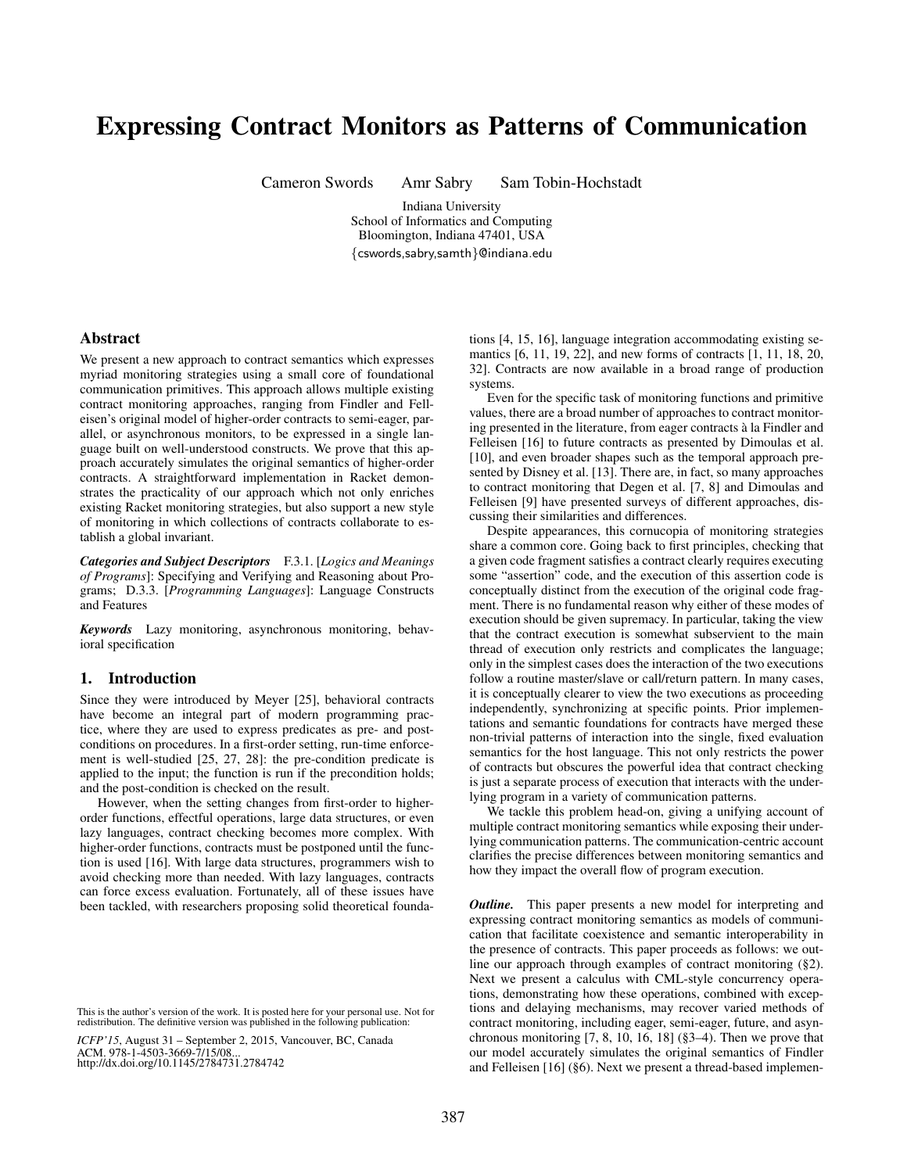# Expressing Contract Monitors as Patterns of Communication

Cameron Swords Amr Sabry Sam Tobin-Hochstadt

Indiana University School of Informatics and Computing Bloomington, Indiana 47401, USA {cswords,sabry,samth}@indiana.edu

## Abstract

We present a new approach to contract semantics which expresses myriad monitoring strategies using a small core of foundational communication primitives. This approach allows multiple existing contract monitoring approaches, ranging from Findler and Felleisen's original model of higher-order contracts to semi-eager, parallel, or asynchronous monitors, to be expressed in a single language built on well-understood constructs. We prove that this approach accurately simulates the original semantics of higher-order contracts. A straightforward implementation in Racket demonstrates the practicality of our approach which not only enriches existing Racket monitoring strategies, but also support a new style of monitoring in which collections of contracts collaborate to establish a global invariant.

*Categories and Subject Descriptors* F.3.1. [*Logics and Meanings of Programs*]: Specifying and Verifying and Reasoning about Programs; D.3.3. [*Programming Languages*]: Language Constructs and Features

*Keywords* Lazy monitoring, asynchronous monitoring, behavioral specification

## 1. Introduction

Since they were introduced by Meyer [25], behavioral contracts have become an integral part of modern programming practice, where they are used to express predicates as pre- and postconditions on procedures. In a first-order setting, run-time enforcement is well-studied [25, 27, 28]: the pre-condition predicate is applied to the input; the function is run if the precondition holds; and the post-condition is checked on the result.

However, when the setting changes from first-order to higherorder functions, effectful operations, large data structures, or even lazy languages, contract checking becomes more complex. With higher-order functions, contracts must be postponed until the function is used [16]. With large data structures, programmers wish to avoid checking more than needed. With lazy languages, contracts can force excess evaluation. Fortunately, all of these issues have been tackled, with researchers proposing solid theoretical founda-

ICFP'15, August 31 – September 2, 2015, Vancouver, BC, Canada. *ICFP'15*, August 31 – September 2, 2015, Vancouver, BC, Canada ACM, 978-1-4503-3669-7/15/08... http://dx.doi.org/10.1145/0.0 http://dx.doi.org/10.1145/2784731.2784742

tions [4, 15, 16], language integration accommodating existing semantics [6, 11, 19, 22], and new forms of contracts [1, 11, 18, 20, 32]. Contracts are now available in a broad range of production systems.

Even for the specific task of monitoring functions and primitive values, there are a broad number of approaches to contract monitoring presented in the literature, from eager contracts a la Findler and ` Felleisen [16] to future contracts as presented by Dimoulas et al. [10], and even broader shapes such as the temporal approach presented by Disney et al. [13]. There are, in fact, so many approaches to contract monitoring that Degen et al. [7, 8] and Dimoulas and Felleisen [9] have presented surveys of different approaches, discussing their similarities and differences.

Despite appearances, this cornucopia of monitoring strategies share a common core. Going back to first principles, checking that a given code fragment satisfies a contract clearly requires executing some "assertion" code, and the execution of this assertion code is conceptually distinct from the execution of the original code fragment. There is no fundamental reason why either of these modes of execution should be given supremacy. In particular, taking the view that the contract execution is somewhat subservient to the main thread of execution only restricts and complicates the language; only in the simplest cases does the interaction of the two executions follow a routine master/slave or call/return pattern. In many cases, it is conceptually clearer to view the two executions as proceeding independently, synchronizing at specific points. Prior implementations and semantic foundations for contracts have merged these non-trivial patterns of interaction into the single, fixed evaluation semantics for the host language. This not only restricts the power of contracts but obscures the powerful idea that contract checking is just a separate process of execution that interacts with the underlying program in a variety of communication patterns.

We tackle this problem head-on, giving a unifying account of multiple contract monitoring semantics while exposing their underlying communication patterns. The communication-centric account clarifies the precise differences between monitoring semantics and how they impact the overall flow of program execution.

*Outline.* This paper presents a new model for interpreting and expressing contract monitoring semantics as models of communication that facilitate coexistence and semantic interoperability in the presence of contracts. This paper proceeds as follows: we outline our approach through examples of contract monitoring (§2). Next we present a calculus with CML-style concurrency operations, demonstrating how these operations, combined with exceptions and delaying mechanisms, may recover varied methods of contract monitoring, including eager, semi-eager, future, and asynchronous monitoring [7, 8, 10, 16, 18] (§3–4). Then we prove that our model accurately simulates the original semantics of Findler and Felleisen [16] (§6). Next we present a thread-based implemen-

This is the author's version of the work. It is posted here for your personal use. Not fore distribution. The definitive version was published in the following publication: This is the author's version of the work. It is posted here for your personal use. Not for redistribution. The definitive version was published in the following publication: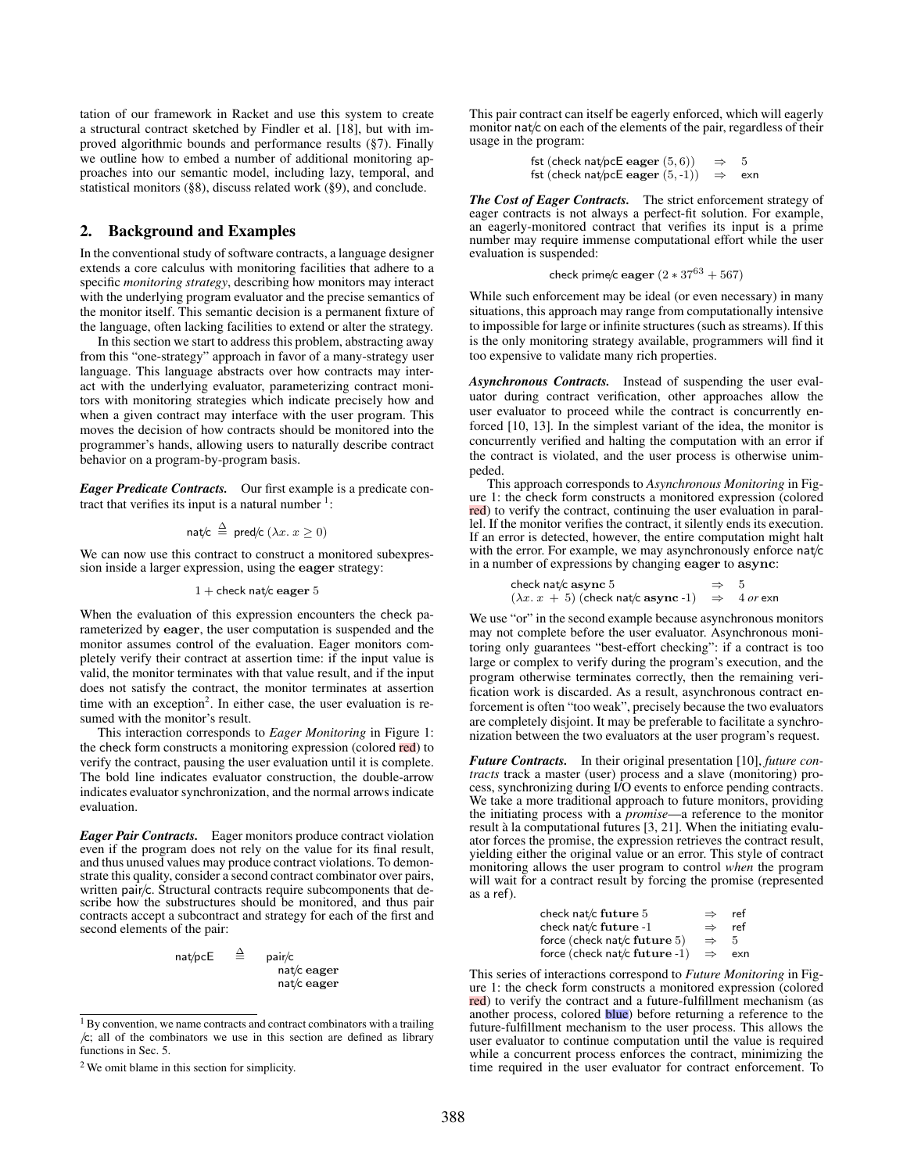tation of our framework in Racket and use this system to create a structural contract sketched by Findler et al. [18], but with improved algorithmic bounds and performance results (§7). Finally we outline how to embed a number of additional monitoring approaches into our semantic model, including lazy, temporal, and statistical monitors (§8), discuss related work (§9), and conclude.

# 2. Background and Examples

In the conventional study of software contracts, a language designer extends a core calculus with monitoring facilities that adhere to a specific *monitoring strategy*, describing how monitors may interact with the underlying program evaluator and the precise semantics of the monitor itself. This semantic decision is a permanent fixture of the language, often lacking facilities to extend or alter the strategy.

In this section we start to address this problem, abstracting away from this "one-strategy" approach in favor of a many-strategy user language. This language abstracts over how contracts may interact with the underlying evaluator, parameterizing contract monitors with monitoring strategies which indicate precisely how and when a given contract may interface with the user program. This moves the decision of how contracts should be monitored into the programmer's hands, allowing users to naturally describe contract behavior on a program-by-program basis.

*Eager Predicate Contracts.* Our first example is a predicate contract that verifies its input is a natural number  $\frac{1}{1}$ :

$$
\mathsf{nat/c} \stackrel{\Delta}{=} \mathsf{pred/c} \ (\lambda x. \ x \ge 0)
$$

We can now use this contract to construct a monitored subexpression inside a larger expression, using the eager strategy:

 $1 +$  check nat/c eager 5

When the evaluation of this expression encounters the check parameterized by eager, the user computation is suspended and the monitor assumes control of the evaluation. Eager monitors completely verify their contract at assertion time: if the input value is valid, the monitor terminates with that value result, and if the input does not satisfy the contract, the monitor terminates at assertion time with an exception<sup>2</sup>. In either case, the user evaluation is resumed with the monitor's result.

This interaction corresponds to *Eager Monitoring* in Figure 1: the check form constructs a monitoring expression (colored red) to verify the contract, pausing the user evaluation until it is complete. The bold line indicates evaluator construction, the double-arrow indicates evaluator synchronization, and the normal arrows indicate evaluation.

*Eager Pair Contracts.* Eager monitors produce contract violation even if the program does not rely on the value for its final result, and thus unused values may produce contract violations. To demonstrate this quality, consider a second contract combinator over pairs, written pair/c. Structural contracts require subcomponents that describe how the substructures should be monitored, and thus pair contracts accept a subcontract and strategy for each of the first and second elements of the pair:

> nat/pcE  $\triangleq$  pair/c nat/c eager nat/c eager

This pair contract can itself be eagerly enforced, which will eagerly monitor nat/c on each of the elements of the pair, regardless of their usage in the program:

> fst (check nat/pcE eager  $(5, 6)$ )  $\Rightarrow$  5 fst (check nat/pcE eager  $(5, -1)$ )  $\Rightarrow$  exn

*The Cost of Eager Contracts.* The strict enforcement strategy of eager contracts is not always a perfect-fit solution. For example, an eagerly-monitored contract that verifies its input is a prime number may require immense computational effort while the user evaluation is suspended:

check prime/c eager 
$$
(2 * 37^{63} + 567)
$$

While such enforcement may be ideal (or even necessary) in many situations, this approach may range from computationally intensive to impossible for large or infinite structures (such as streams). If this is the only monitoring strategy available, programmers will find it too expensive to validate many rich properties.

*Asynchronous Contracts.* Instead of suspending the user evaluator during contract verification, other approaches allow the user evaluator to proceed while the contract is concurrently enforced [10, 13]. In the simplest variant of the idea, the monitor is concurrently verified and halting the computation with an error if the contract is violated, and the user process is otherwise unimpeded.

This approach corresponds to *Asynchronous Monitoring* in Figure 1: the check form constructs a monitored expression (colored red) to verify the contract, continuing the user evaluation in parallel. If the monitor verifies the contract, it silently ends its execution. If an error is detected, however, the entire computation might halt with the error. For example, we may asynchronously enforce nat/c in a number of expressions by changing eager to async:

$$
\begin{array}{lll}\n\text{check nat/c} & \text{async 5} & \Rightarrow & 5 \\
(\lambda x. \ x + 5) & (\text{check nat/c} \ \text{async -1}) & \Rightarrow & 4 \text{ or } \text{exn}\n\end{array}
$$

We use "or" in the second example because asynchronous monitors may not complete before the user evaluator. Asynchronous monitoring only guarantees "best-effort checking": if a contract is too large or complex to verify during the program's execution, and the program otherwise terminates correctly, then the remaining verification work is discarded. As a result, asynchronous contract enforcement is often "too weak", precisely because the two evaluators are completely disjoint. It may be preferable to facilitate a synchronization between the two evaluators at the user program's request.

*Future Contracts.* In their original presentation [10], *future contracts* track a master (user) process and a slave (monitoring) process, synchronizing during I/O events to enforce pending contracts. We take a more traditional approach to future monitors, providing the initiating process with a *promise*—a reference to the monitor result à la computational futures  $[3, 21]$ . When the initiating evaluator forces the promise, the expression retrieves the contract result, yielding either the original value or an error. This style of contract monitoring allows the user program to control *when* the program will wait for a contract result by forcing the promise (represented as a ref).

| check nat/c future 5            | $\Rightarrow$ | ref |
|---------------------------------|---------------|-----|
| check nat/c future -1           | $\Rightarrow$ | ref |
| force (check nat/c future $5$ ) | $\Rightarrow$ | 5   |
| force (check nat/c future -1)   | $\Rightarrow$ | exn |

This series of interactions correspond to *Future Monitoring* in Figure 1: the check form constructs a monitored expression (colored red) to verify the contract and a future-fulfillment mechanism (as another process, colored blue) before returning a reference to the future-fulfillment mechanism to the user process. This allows the user evaluator to continue computation until the value is required while a concurrent process enforces the contract, minimizing the time required in the user evaluator for contract enforcement. To

 $1$  By convention, we name contracts and contract combinators with a trailing /c; all of the combinators we use in this section are defined as library functions in Sec. 5.

<sup>2</sup> We omit blame in this section for simplicity.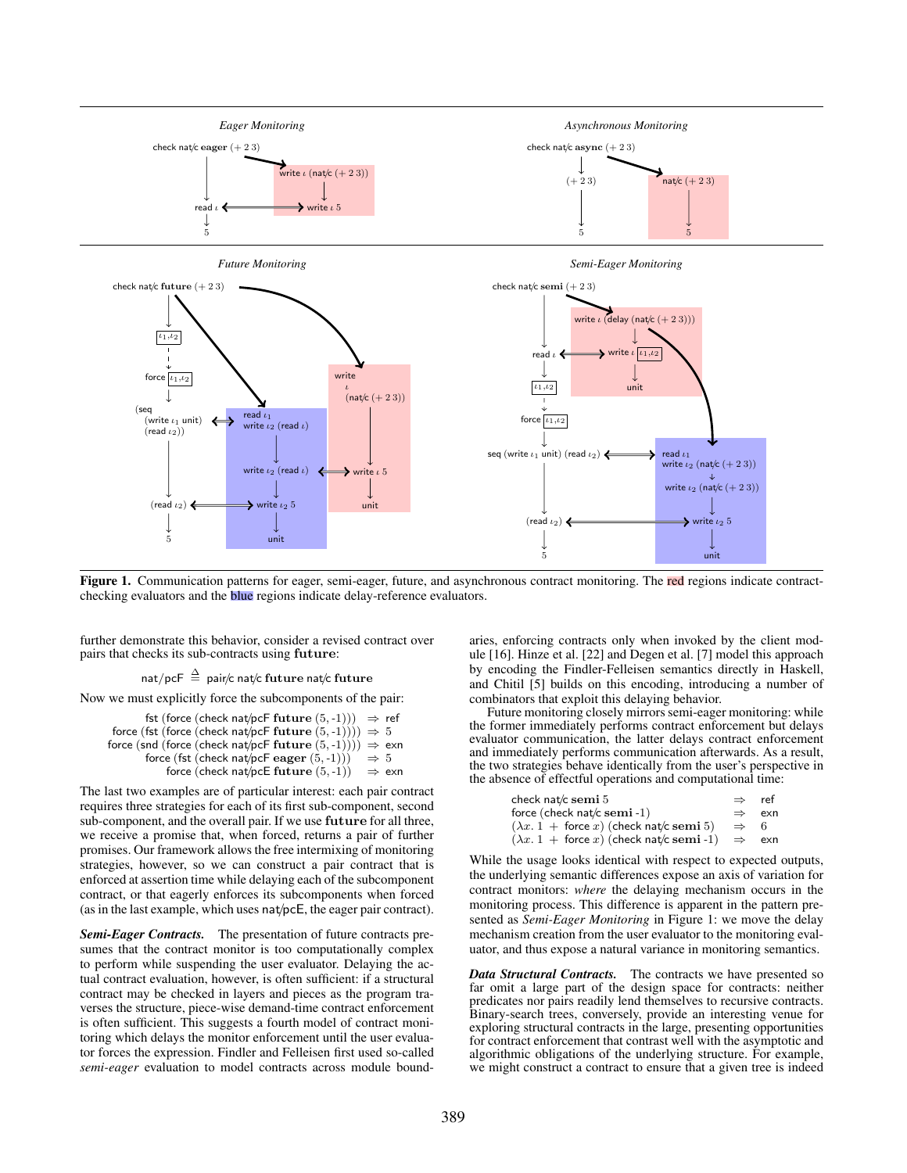

Figure 1. Communication patterns for eager, semi-eager, future, and asynchronous contract monitoring. The red regions indicate contractchecking evaluators and the blue regions indicate delay-reference evaluators.

further demonstrate this behavior, consider a revised contract over pairs that checks its sub-contracts using future:

nat/pcF  $\stackrel{\Delta}{=}$  pair/c nat/c future nat/c future

Now we must explicitly force the subcomponents of the pair:

```
fst (force (check nat/pcF future (5, -1))) \Rightarrow ref
 force (fst (force (check nat/pcF future (5, -1))) \Rightarrow 5
force (snd (force (check nat/pcF future (5, -1)))) \Rightarrow exn
        force (fst (check nat/pcF eager (5, -1))) \Rightarrow 5
             force (check nat/pcE future (5, -1)) \Rightarrow exn
```
The last two examples are of particular interest: each pair contract requires three strategies for each of its first sub-component, second sub-component, and the overall pair. If we use future for all three, we receive a promise that, when forced, returns a pair of further promises. Our framework allows the free intermixing of monitoring strategies, however, so we can construct a pair contract that is enforced at assertion time while delaying each of the subcomponent contract, or that eagerly enforces its subcomponents when forced (as in the last example, which uses nat/pcE, the eager pair contract).

*Semi-Eager Contracts.* The presentation of future contracts presumes that the contract monitor is too computationally complex to perform while suspending the user evaluator. Delaying the actual contract evaluation, however, is often sufficient: if a structural contract may be checked in layers and pieces as the program traverses the structure, piece-wise demand-time contract enforcement is often sufficient. This suggests a fourth model of contract monitoring which delays the monitor enforcement until the user evaluator forces the expression. Findler and Felleisen first used so-called *semi-eager* evaluation to model contracts across module bound-

aries, enforcing contracts only when invoked by the client module [16]. Hinze et al. [22] and Degen et al. [7] model this approach by encoding the Findler-Felleisen semantics directly in Haskell, and Chitil [5] builds on this encoding, introducing a number of combinators that exploit this delaying behavior.

Future monitoring closely mirrors semi-eager monitoring: while the former immediately performs contract enforcement but delays evaluator communication, the latter delays contract enforcement and immediately performs communication afterwards. As a result, the two strategies behave identically from the user's perspective in the absence of effectful operations and computational time:

| check nat/c semi 5                                                    | $\Rightarrow$ | ref |
|-----------------------------------------------------------------------|---------------|-----|
| force (check nat/c semi-1)                                            | $\Rightarrow$ | exn |
| $(\lambda x. 1 + \text{force } x)$ (check nat/c semi 5)               | $\Rightarrow$ | 6   |
| $(\lambda x. 1 + \text{force } x)$ (check nat/c semi-1) $\Rightarrow$ |               | exn |

While the usage looks identical with respect to expected outputs, the underlying semantic differences expose an axis of variation for contract monitors: *where* the delaying mechanism occurs in the monitoring process. This difference is apparent in the pattern presented as *Semi-Eager Monitoring* in Figure 1: we move the delay mechanism creation from the user evaluator to the monitoring evaluator, and thus expose a natural variance in monitoring semantics.

*Data Structural Contracts.* The contracts we have presented so far omit a large part of the design space for contracts: neither predicates nor pairs readily lend themselves to recursive contracts. Binary-search trees, conversely, provide an interesting venue for exploring structural contracts in the large, presenting opportunities for contract enforcement that contrast well with the asymptotic and algorithmic obligations of the underlying structure. For example, we might construct a contract to ensure that a given tree is indeed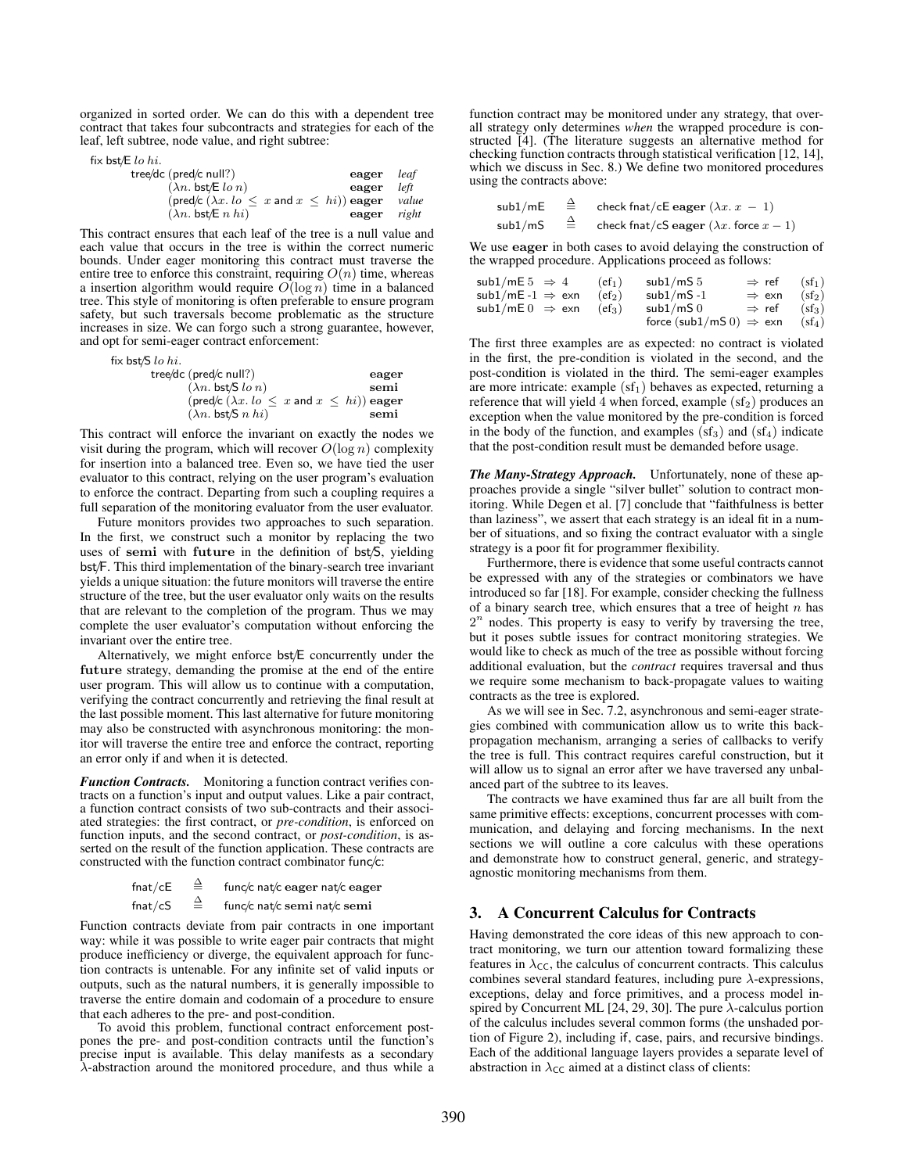organized in sorted order. We can do this with a dependent tree contract that takes four subcontracts and strategies for each of the leaf, left subtree, node value, and right subtree:

fix bst/E lo hi.

| tree/dc (pred/c null?)                                                           | eager | leaf  |
|----------------------------------------------------------------------------------|-------|-------|
| $(\lambda n. \text{bst/E } \ln n)$                                               | eager | left  |
| $(\text{pred/c } (\lambda x. \text{ } lo \leq x \text{ and } x \leq h_i))$ eager |       | value |
| $(\lambda n. \text{bst/E } n h i)$                                               | eager | right |

This contract ensures that each leaf of the tree is a null value and each value that occurs in the tree is within the correct numeric bounds. Under eager monitoring this contract must traverse the entire tree to enforce this constraint, requiring  $O(n)$  time, whereas a insertion algorithm would require  $O(\log n)$  time in a balanced tree. This style of monitoring is often preferable to ensure program safety, but such traversals become problematic as the structure increases in size. We can forgo such a strong guarantee, however, and opt for semi-eager contract enforcement:

fix bst/S lo hi.

| tree/dc $(pred/c$ null?)                                                                 |  | eager |
|------------------------------------------------------------------------------------------|--|-------|
| $(\lambda n. \text{bst/S } \ln n)$                                                       |  | semi  |
| $(\text{pred/c } (\lambda x. \text{ } lo \leq x \text{ and } x \leq \text{ } hi))$ eager |  |       |
| $(\lambda n. \text{bst/S } n \text{ hi})$                                                |  | semi  |

This contract will enforce the invariant on exactly the nodes we visit during the program, which will recover  $O(\log n)$  complexity for insertion into a balanced tree. Even so, we have tied the user evaluator to this contract, relying on the user program's evaluation to enforce the contract. Departing from such a coupling requires a full separation of the monitoring evaluator from the user evaluator.

Future monitors provides two approaches to such separation. In the first, we construct such a monitor by replacing the two uses of semi with future in the definition of bst/S, yielding bst/F. This third implementation of the binary-search tree invariant yields a unique situation: the future monitors will traverse the entire structure of the tree, but the user evaluator only waits on the results that are relevant to the completion of the program. Thus we may complete the user evaluator's computation without enforcing the invariant over the entire tree.

Alternatively, we might enforce bst/E concurrently under the future strategy, demanding the promise at the end of the entire user program. This will allow us to continue with a computation, verifying the contract concurrently and retrieving the final result at the last possible moment. This last alternative for future monitoring may also be constructed with asynchronous monitoring: the monitor will traverse the entire tree and enforce the contract, reporting an error only if and when it is detected.

*Function Contracts.* Monitoring a function contract verifies contracts on a function's input and output values. Like a pair contract, a function contract consists of two sub-contracts and their associated strategies: the first contract, or *pre-condition*, is enforced on function inputs, and the second contract, or *post-condition*, is asserted on the result of the function application. These contracts are constructed with the function contract combinator func/c:

- fnat/cE  $\triangleq$  func/c nat/c eager nat/c eager
- fnat/cS  $\stackrel{\Delta}{=}$  func/c nat/c semi nat/c semi

Function contracts deviate from pair contracts in one important way: while it was possible to write eager pair contracts that might produce inefficiency or diverge, the equivalent approach for function contracts is untenable. For any infinite set of valid inputs or outputs, such as the natural numbers, it is generally impossible to traverse the entire domain and codomain of a procedure to ensure that each adheres to the pre- and post-condition.

To avoid this problem, functional contract enforcement postpones the pre- and post-condition contracts until the function's precise input is available. This delay manifests as a secondary λ-abstraction around the monitored procedure, and thus while a function contract may be monitored under any strategy, that overall strategy only determines *when* the wrapped procedure is constructed [4]. (The literature suggests an alternative method for checking function contracts through statistical verification [12, 14], which we discuss in Sec. 8.) We define two monitored procedures using the contracts above:

| sub1/mE | $\triangleq$ | check fnat/cE eager $(\lambda x. x - 1)$         |
|---------|--------------|--------------------------------------------------|
| sub1/mS | =            | check fnat/cS eager $(\lambda x.$ force $x - 1)$ |

We use eager in both cases to avoid delaying the construction of the wrapped procedure. Applications proceed as follows:

| sub1/mE $5 \Rightarrow 4$    | $(cf_1)$           | sub $1/mS_5$                        | $\Rightarrow$ ref | $(sf_1)$  |
|------------------------------|--------------------|-------------------------------------|-------------------|-----------|
| sub1/mE -1 $\Rightarrow$ exn | (cf <sub>2</sub> ) | $sub1/mS -1$                        | $\Rightarrow$ exn | $(sf_2)$  |
| $sub1/mE 0 \Rightarrow$ exn  | (cf <sub>3</sub> ) | $sub1/mS$ $0$                       | $\Rightarrow$ ref | $(s f_3)$ |
|                              |                    | force $(sub1/mS 0) \Rightarrow$ exn |                   | $(s f_4)$ |

The first three examples are as expected: no contract is violated in the first, the pre-condition is violated in the second, and the post-condition is violated in the third. The semi-eager examples are more intricate: example  $(sf_1)$  behaves as expected, returning a reference that will yield 4 when forced, example  $(s f_2)$  produces an exception when the value monitored by the pre-condition is forced in the body of the function, and examples  $(s f_3)$  and  $(s f_4)$  indicate that the post-condition result must be demanded before usage.

*The Many-Strategy Approach.* Unfortunately, none of these approaches provide a single "silver bullet" solution to contract monitoring. While Degen et al. [7] conclude that "faithfulness is better than laziness", we assert that each strategy is an ideal fit in a number of situations, and so fixing the contract evaluator with a single strategy is a poor fit for programmer flexibility.

Furthermore, there is evidence that some useful contracts cannot be expressed with any of the strategies or combinators we have introduced so far [18]. For example, consider checking the fullness of a binary search tree, which ensures that a tree of height  $n$  has  $2<sup>n</sup>$  nodes. This property is easy to verify by traversing the tree, but it poses subtle issues for contract monitoring strategies. We would like to check as much of the tree as possible without forcing additional evaluation, but the *contract* requires traversal and thus we require some mechanism to back-propagate values to waiting contracts as the tree is explored.

As we will see in Sec. 7.2, asynchronous and semi-eager strategies combined with communication allow us to write this backpropagation mechanism, arranging a series of callbacks to verify the tree is full. This contract requires careful construction, but it will allow us to signal an error after we have traversed any unbalanced part of the subtree to its leaves.

The contracts we have examined thus far are all built from the same primitive effects: exceptions, concurrent processes with communication, and delaying and forcing mechanisms. In the next sections we will outline a core calculus with these operations and demonstrate how to construct general, generic, and strategyagnostic monitoring mechanisms from them.

## 3. A Concurrent Calculus for Contracts

Having demonstrated the core ideas of this new approach to contract monitoring, we turn our attention toward formalizing these features in  $\lambda_{\text{CC}}$ , the calculus of concurrent contracts. This calculus combines several standard features, including pure  $\lambda$ -expressions, exceptions, delay and force primitives, and a process model inspired by Concurrent ML [24, 29, 30]. The pure  $\lambda$ -calculus portion of the calculus includes several common forms (the unshaded portion of Figure 2), including if, case, pairs, and recursive bindings. Each of the additional language layers provides a separate level of abstraction in  $\lambda_{\text{CC}}$  aimed at a distinct class of clients: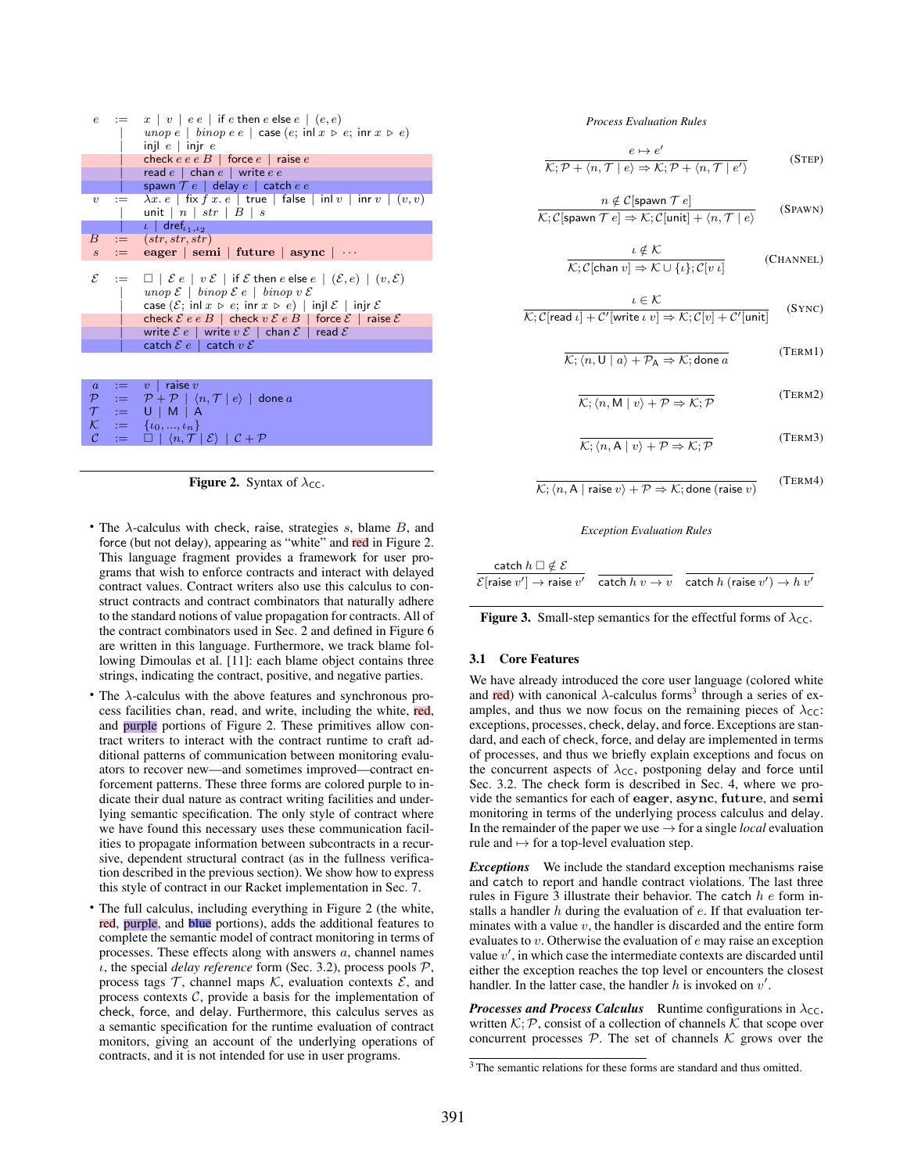

**Figure 2.** Syntax of  $\lambda_{\text{CC}}$ .

- The  $\lambda$ -calculus with check, raise, strategies s, blame  $B$ , and force (but not delay), appearing as "white" and red in Figure 2. This language fragment provides a framework for user programs that wish to enforce contracts and interact with delayed contract values. Contract writers also use this calculus to construct contracts and contract combinators that naturally adhere to the standard notions of value propagation for contracts. All of the contract combinators used in Sec. 2 and defined in Figure 6 are written in this language. Furthermore, we track blame following Dimoulas et al. [11]: each blame object contains three strings, indicating the contract, positive, and negative parties.
- The  $\lambda$ -calculus with the above features and synchronous process facilities chan, read, and write, including the white, red, and purple portions of Figure 2. These primitives allow contract writers to interact with the contract runtime to craft additional patterns of communication between monitoring evaluators to recover new—and sometimes improved—contract enforcement patterns. These three forms are colored purple to indicate their dual nature as contract writing facilities and underlying semantic specification. The only style of contract where we have found this necessary uses these communication facilities to propagate information between subcontracts in a recursive, dependent structural contract (as in the fullness verification described in the previous section). We show how to express this style of contract in our Racket implementation in Sec. 7.
- The full calculus, including everything in Figure 2 (the white, red, purple, and blue portions), adds the additional features to complete the semantic model of contract monitoring in terms of processes. These effects along with answers a, channel names  $\iota$ , the special *delay reference* form (Sec. 3.2), process pools  $\mathcal{P}$ , process tags  $T$ , channel maps  $K$ , evaluation contexts  $\mathcal{E}$ , and process contexts  $C$ , provide a basis for the implementation of check, force, and delay. Furthermore, this calculus serves as a semantic specification for the runtime evaluation of contract monitors, giving an account of the underlying operations of contracts, and it is not intended for use in user programs.

*Process Evaluation Rules*

$$
\frac{e \mapsto e'}{\mathcal{K}; \mathcal{P} + \langle n, \mathcal{T} \mid e \rangle \Rightarrow \mathcal{K}; \mathcal{P} + \langle n, \mathcal{T} \mid e' \rangle}
$$
 (STEP)

$$
\frac{n \notin \mathcal{C}[\text{spawn} \mid \mathcal{T} \mid e]}{\mathcal{K}; \mathcal{C}[\text{spawn} \mid \mathcal{T} \mid e] \Rightarrow \mathcal{K}; \mathcal{C}[\text{unit}] + \langle n, \mathcal{T} \mid e \rangle} \qquad \text{(SPAWN)}
$$

$$
\frac{\iota \notin \mathcal{K}}{\mathcal{K}; \mathcal{C}[\text{chan } v] \Rightarrow \mathcal{K} \cup \{\iota\}; \mathcal{C}[v \iota]}
$$
 (CHANNEL)

$$
\frac{\iota \in \mathcal{K}}{\mathcal{K}; \mathcal{C}[\text{read } \iota] + \mathcal{C}'[\text{write } \iota \ v]} \Rightarrow \mathcal{K}; \mathcal{C}[v] + \mathcal{C}'[\text{unit}]
$$
 (SYNC)

 $\overline{\mathcal{K}}; \langle n, \mathsf{U} \mid a \rangle + \mathcal{P}_{\mathsf{A}} \Rightarrow \mathcal{K}$ ; done a (TERM1)

$$
\overline{\mathcal{K}}; \langle n, M | v \rangle + \mathcal{P} \Rightarrow \mathcal{K}; \mathcal{P}
$$
\n(TERM2)

$$
\overline{\mathcal{K}; \langle n, A | v \rangle + \mathcal{P} \Rightarrow \mathcal{K}; \mathcal{P}}
$$
 (TERM3)

$$
\overline{\mathcal{K}}; \langle n, \mathsf{A} | \text{raise } v \rangle + \mathcal{P} \Rightarrow \mathcal{K}; \text{done (raise } v \rangle \tag{TERM4}
$$

*Exception Evaluation Rules*

| catch $h\ \Box \notin \mathcal{E}$ |                                                                                                                    |
|------------------------------------|--------------------------------------------------------------------------------------------------------------------|
|                                    | $\mathcal{E}$ [raise $v' \rightarrow r$ aise $v'$ catch $h v \rightarrow v$ catch $h$ (raise $v' \rightarrow h v'$ |

**Figure 3.** Small-step semantics for the effectful forms of  $\lambda_{\text{CC}}$ .

## 3.1 Core Features

We have already introduced the core user language (colored white and red) with canonical  $\lambda$ -calculus forms<sup>3</sup> through a series of examples, and thus we now focus on the remaining pieces of  $\lambda_{\text{CC}}$ : exceptions, processes, check, delay, and force. Exceptions are standard, and each of check, force, and delay are implemented in terms of processes, and thus we briefly explain exceptions and focus on the concurrent aspects of  $\lambda_{\text{CC}}$ , postponing delay and force until Sec. 3.2. The check form is described in Sec. 4, where we provide the semantics for each of eager, async, future, and semi monitoring in terms of the underlying process calculus and delay. In the remainder of the paper we use  $\rightarrow$  for a single *local* evaluation rule and  $\mapsto$  for a top-level evaluation step.

*Exceptions* We include the standard exception mechanisms raise and catch to report and handle contract violations. The last three rules in Figure 3 illustrate their behavior. The catch  $h e$  form installs a handler  $h$  during the evaluation of  $e$ . If that evaluation terminates with a value  $v$ , the handler is discarded and the entire form evaluates to v. Otherwise the evaluation of e may raise an exception value  $v'$ , in which case the intermediate contexts are discarded until either the exception reaches the top level or encounters the closest handler. In the latter case, the handler h is invoked on  $v'$ .

*Processes and Process Calculus* Runtime configurations in  $\lambda_{CC}$ , written  $\mathcal{K}; \mathcal{P}$ , consist of a collection of channels  $\mathcal{K}$  that scope over concurrent processes  $P$ . The set of channels  $K$  grows over the

<sup>3</sup> The semantic relations for these forms are standard and thus omitted.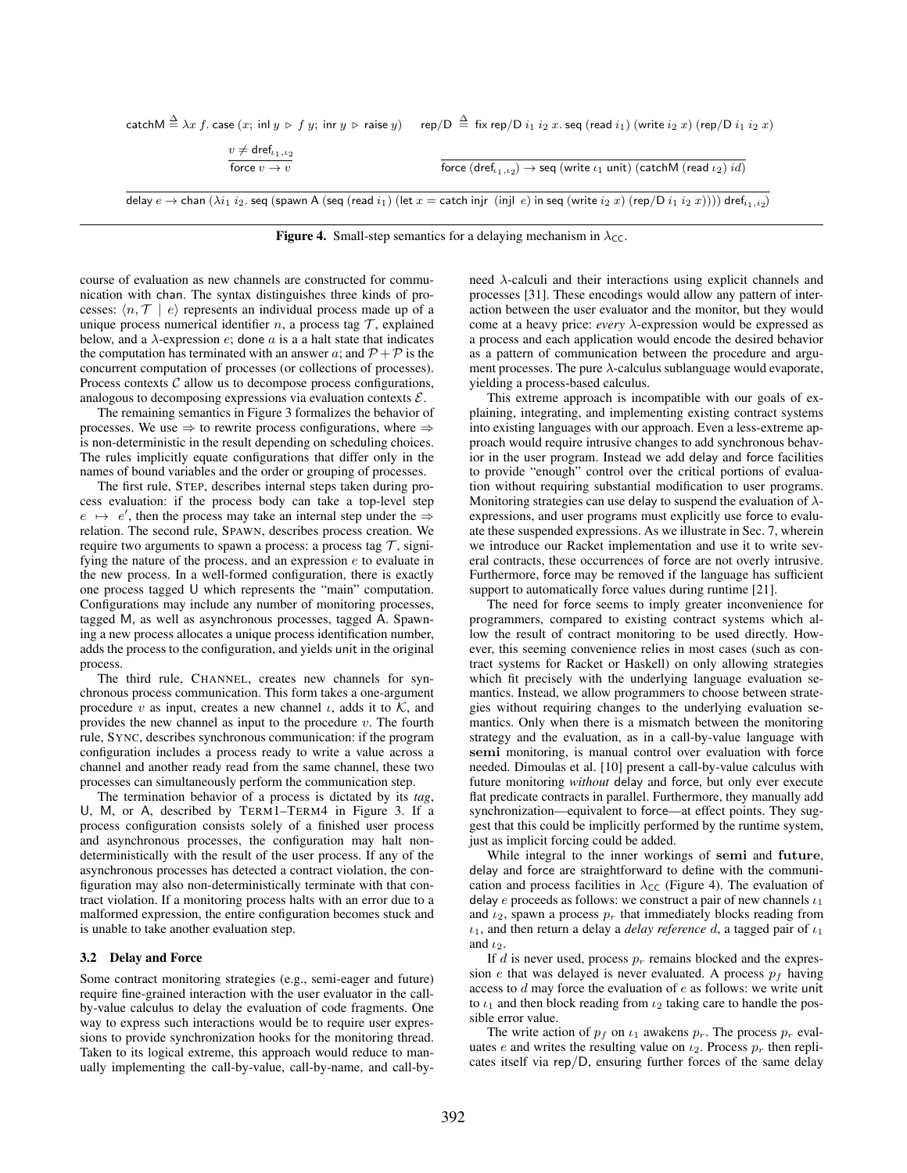|                                                               | $\mathsf{catchM} \overset{\Delta}{=} \lambda x \ f.$ $\mathsf{case}\ (x;\ \mathsf{inl}\ y \mathrel{\triangleright} f\ y;\ \mathsf{inr}\ y \mathrel{\triangleright} \mathsf{raise}\ y) \quad\mathsf{rep}/\mathsf{D} \overset{\Delta}{=} \ \mathsf{fix}\ \mathsf{rep}/\mathsf{D}\ i_1\ i_2\ x.$ $\mathsf{seq}\ (\mathsf{read}\ i_1)\ (\mathsf{write}\ i_2\ x)\ (\mathsf{rep}/\mathsf{D}\ i_1\ i_2\ x)$ |
|---------------------------------------------------------------|------------------------------------------------------------------------------------------------------------------------------------------------------------------------------------------------------------------------------------------------------------------------------------------------------------------------------------------------------------------------------------------------------|
| $v \neq$ dref $_{\iota_1,\iota_2}$<br>force $v \rightarrow v$ | force $(\text{dref}_{i_1,i_2}) \rightarrow \text{seq}$ (write $i_1$ unit) (catchM (read $i_2$ ) id)                                                                                                                                                                                                                                                                                                  |

delay  $e\to$  chan  $(\lambda i_1\; i_2.$  seq (spawn A (seq (read  $i_1)$  (let  $x=$  catch injr  $\;$  (injl  $\;e)$  in seq (write  $i_2\; x)$  (rep/D  $i_1\; i_2\; x))))$  dre $f_{i_1,i_2)}$ 



course of evaluation as new channels are constructed for communication with chan. The syntax distinguishes three kinds of processes:  $\langle n, \mathcal{T} | e \rangle$  represents an individual process made up of a unique process numerical identifier n, a process tag  $\mathcal T$ , explained below, and a  $\lambda$ -expression e; done a is a a halt state that indicates the computation has terminated with an answer a; and  $P + P$  is the concurrent computation of processes (or collections of processes). Process contexts  $C$  allow us to decompose process configurations, analogous to decomposing expressions via evaluation contexts  $\mathcal{E}$ .

The remaining semantics in Figure 3 formalizes the behavior of processes. We use  $\Rightarrow$  to rewrite process configurations, where  $\Rightarrow$ is non-deterministic in the result depending on scheduling choices. The rules implicitly equate configurations that differ only in the names of bound variables and the order or grouping of processes.

The first rule, STEP, describes internal steps taken during process evaluation: if the process body can take a top-level step  $e \mapsto e'$ , then the process may take an internal step under the  $\Rightarrow$ relation. The second rule, SPAWN, describes process creation. We require two arguments to spawn a process: a process tag  $\mathcal{T}$ , signifying the nature of the process, and an expression e to evaluate in the new process. In a well-formed configuration, there is exactly one process tagged U which represents the "main" computation. Configurations may include any number of monitoring processes, tagged M, as well as asynchronous processes, tagged A. Spawning a new process allocates a unique process identification number, adds the process to the configuration, and yields unit in the original process.

The third rule, CHANNEL, creates new channels for synchronous process communication. This form takes a one-argument procedure v as input, creates a new channel  $\iota$ , adds it to  $\mathcal{K}$ , and provides the new channel as input to the procedure  $v$ . The fourth rule, SYNC, describes synchronous communication: if the program configuration includes a process ready to write a value across a channel and another ready read from the same channel, these two processes can simultaneously perform the communication step.

The termination behavior of a process is dictated by its *tag*, U, M, or A, described by TERM1–TERM4 in Figure 3. If a process configuration consists solely of a finished user process and asynchronous processes, the configuration may halt nondeterministically with the result of the user process. If any of the asynchronous processes has detected a contract violation, the configuration may also non-deterministically terminate with that contract violation. If a monitoring process halts with an error due to a malformed expression, the entire configuration becomes stuck and is unable to take another evaluation step.

#### 3.2 Delay and Force

Some contract monitoring strategies (e.g., semi-eager and future) require fine-grained interaction with the user evaluator in the callby-value calculus to delay the evaluation of code fragments. One way to express such interactions would be to require user expressions to provide synchronization hooks for the monitoring thread. Taken to its logical extreme, this approach would reduce to manually implementing the call-by-value, call-by-name, and call-byneed  $\lambda$ -calculi and their interactions using explicit channels and processes [31]. These encodings would allow any pattern of interaction between the user evaluator and the monitor, but they would come at a heavy price: *every* λ-expression would be expressed as a process and each application would encode the desired behavior as a pattern of communication between the procedure and argument processes. The pure  $\lambda$ -calculus sublanguage would evaporate, yielding a process-based calculus.

This extreme approach is incompatible with our goals of explaining, integrating, and implementing existing contract systems into existing languages with our approach. Even a less-extreme approach would require intrusive changes to add synchronous behavior in the user program. Instead we add delay and force facilities to provide "enough" control over the critical portions of evaluation without requiring substantial modification to user programs. Monitoring strategies can use delay to suspend the evaluation of  $\lambda$ expressions, and user programs must explicitly use force to evaluate these suspended expressions. As we illustrate in Sec. 7, wherein we introduce our Racket implementation and use it to write several contracts, these occurrences of force are not overly intrusive. Furthermore, force may be removed if the language has sufficient support to automatically force values during runtime [21].

The need for force seems to imply greater inconvenience for programmers, compared to existing contract systems which allow the result of contract monitoring to be used directly. However, this seeming convenience relies in most cases (such as contract systems for Racket or Haskell) on only allowing strategies which fit precisely with the underlying language evaluation semantics. Instead, we allow programmers to choose between strategies without requiring changes to the underlying evaluation semantics. Only when there is a mismatch between the monitoring strategy and the evaluation, as in a call-by-value language with semi monitoring, is manual control over evaluation with force needed. Dimoulas et al. [10] present a call-by-value calculus with future monitoring *without* delay and force, but only ever execute flat predicate contracts in parallel. Furthermore, they manually add synchronization—equivalent to force—at effect points. They suggest that this could be implicitly performed by the runtime system, just as implicit forcing could be added.

While integral to the inner workings of semi and future, delay and force are straightforward to define with the communication and process facilities in  $\lambda_{\text{CC}}$  (Figure 4). The evaluation of delay e proceeds as follows: we construct a pair of new channels  $\iota_1$ and  $\iota_2$ , spawn a process  $p_r$  that immediately blocks reading from  $\iota_1$ , and then return a delay a *delay reference* d, a tagged pair of  $\iota_1$ and  $\iota_2$ .

If d is never used, process  $p_r$  remains blocked and the expression e that was delayed is never evaluated. A process  $p_f$  having access to d may force the evaluation of e as follows: we write unit to  $\iota_1$  and then block reading from  $\iota_2$  taking care to handle the possible error value.

The write action of  $p_f$  on  $\iota_1$  awakens  $p_r$ . The process  $p_r$  evaluates e and writes the resulting value on  $\iota_2$ . Process  $p_r$  then replicates itself via  $rep/D$ , ensuring further forces of the same delay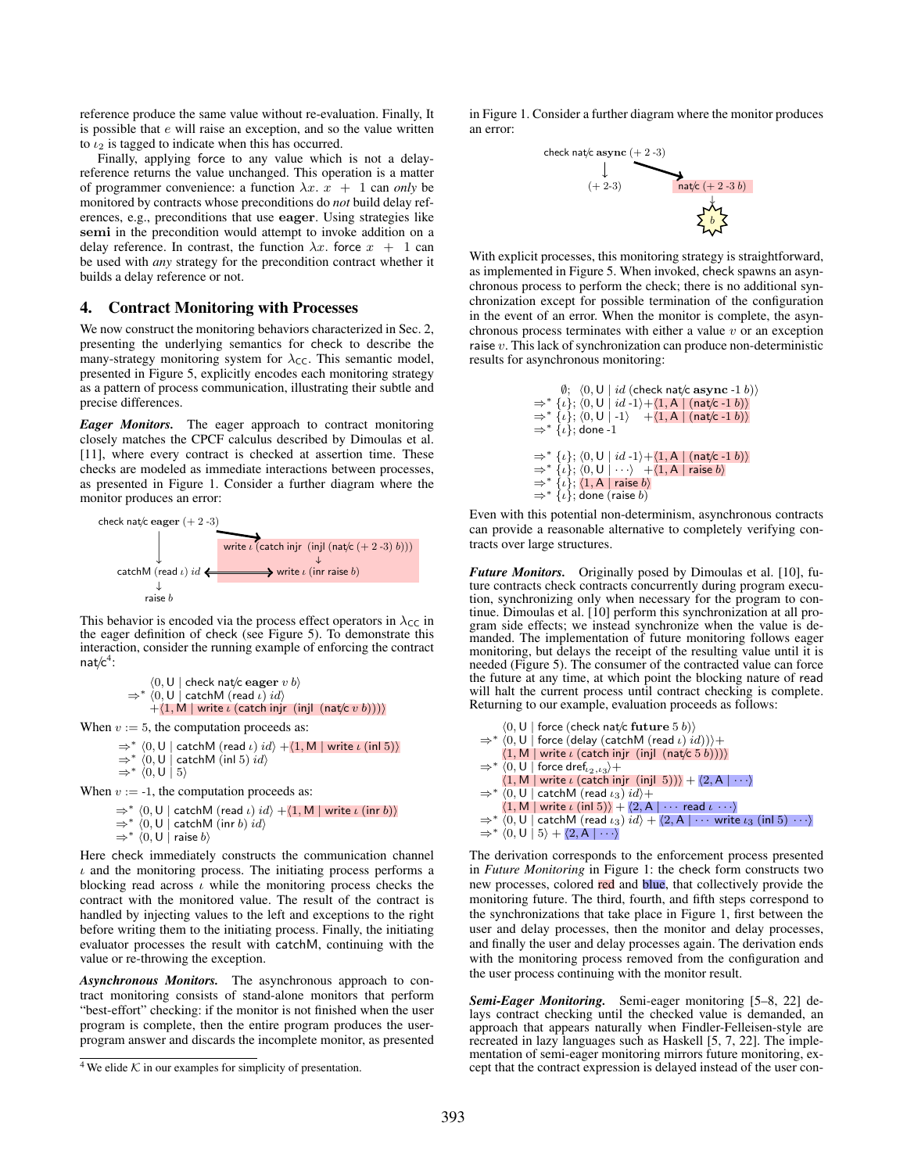reference produce the same value without re-evaluation. Finally, It is possible that  $e$  will raise an exception, and so the value written to  $\iota_2$  is tagged to indicate when this has occurred.

Finally, applying force to any value which is not a delayreference returns the value unchanged. This operation is a matter of programmer convenience: a function  $\lambda x$ .  $\hat{x} + 1$  can *only* be monitored by contracts whose preconditions do *not* build delay references, e.g., preconditions that use eager. Using strategies like semi in the precondition would attempt to invoke addition on a delay reference. In contrast, the function  $\lambda x$ . force  $x + 1$  can be used with *any* strategy for the precondition contract whether it builds a delay reference or not.

## 4. Contract Monitoring with Processes

We now construct the monitoring behaviors characterized in Sec. 2, presenting the underlying semantics for check to describe the many-strategy monitoring system for  $\lambda_{\text{CC}}$ . This semantic model, presented in Figure 5, explicitly encodes each monitoring strategy as a pattern of process communication, illustrating their subtle and precise differences.

*Eager Monitors.* The eager approach to contract monitoring closely matches the CPCF calculus described by Dimoulas et al. [11], where every contract is checked at assertion time. These checks are modeled as immediate interactions between processes, as presented in Figure 1. Consider a further diagram where the monitor produces an error:



This behavior is encoded via the process effect operators in  $\lambda_{\text{CC}}$  in the eager definition of check (see Figure 5). To demonstrate this interaction, consider the running example of enforcing the contract  $nat/c<sup>4</sup>$ :

```
\langle 0, U | check nat/c eager v b)
              \Rightarrow^* \langle 0, U | catchM (read ι) id)
                     +\langle 1, M | write \iota (catch injr (injl (nat/c v b))))
When v := 5, the computation proceeds as:
            \Rightarrow^* \langle 0, U \mid \text{catchM (read } \iota \rangle \ id \rangle + \langle 1, M \mid \text{write } \iota \text{ (inl 5)} \rangle
```
 $\Rightarrow$   $\langle 0, U \vert$  catchM (inl 5)  $id \rangle$  $\Rightarrow$   $\langle 0, U | 5 \rangle$ 

When  $v := -1$ , the computation proceeds as:

```
\Rightarrow^* \langle 0, U \vert catchM (read ι) id \rangle +\langle 1, M \vert write ι (inr b))
\Rightarrow^* \langle 0, U \vert catchM (inr b) id \rangle
```
 $\Rightarrow^*$   $\langle 0, U |$  raise b)

Here check immediately constructs the communication channel  $\iota$  and the monitoring process. The initiating process performs a blocking read across  $\iota$  while the monitoring process checks the contract with the monitored value. The result of the contract is handled by injecting values to the left and exceptions to the right before writing them to the initiating process. Finally, the initiating evaluator processes the result with catchM, continuing with the value or re-throwing the exception.

*Asynchronous Monitors.* The asynchronous approach to contract monitoring consists of stand-alone monitors that perform "best-effort" checking: if the monitor is not finished when the user program is complete, then the entire program produces the userprogram answer and discards the incomplete monitor, as presented in Figure 1. Consider a further diagram where the monitor produces an error:



With explicit processes, this monitoring strategy is straightforward, as implemented in Figure 5. When invoked, check spawns an asynchronous process to perform the check; there is no additional synchronization except for possible termination of the configuration in the event of an error. When the monitor is complete, the asynchronous process terminates with either a value  $v$  or an exception raise v. This lack of synchronization can produce non-deterministic results for asynchronous monitoring:

> $\emptyset$ ;  $\langle 0, U | id$  (check nat/c async -1 b))  $\Rightarrow$  {l}; \le 0, U | id -1\times\{-1, A | (nat/c -1 b)\}  $\Rightarrow$  { $\iota$ };  $\langle 0, U | -1 \rangle$  + $\langle 1, A | (nat/c -1 b) \rangle$  $\Rightarrow^* \{\iota\};$  done -1  $\Rightarrow^* {\iota}; {\langle 0, U | id -1 \rangle} + {\langle 1, A | (nat/c -1 b) \rangle}$  $\Rightarrow$  \* { $\iota$ };  $\langle 0, U | \cdots \rangle$  + $\langle 1, A |$  raise  $b \rangle$  $\Rightarrow$   $\{i\};$   $\langle 1, A \mid$  raise  $b \rangle$  $\Rightarrow$  \* {*i*}; done (raise *b*)

Even with this potential non-determinism, asynchronous contracts can provide a reasonable alternative to completely verifying contracts over large structures.

*Future Monitors.* Originally posed by Dimoulas et al. [10], future contracts check contracts concurrently during program execution, synchronizing only when necessary for the program to continue. Dimoulas et al. [10] perform this synchronization at all program side effects; we instead synchronize when the value is demanded. The implementation of future monitoring follows eager monitoring, but delays the receipt of the resulting value until it is needed (Figure 5). The consumer of the contracted value can force the future at any time, at which point the blocking nature of read will halt the current process until contract checking is complete. Returning to our example, evaluation proceeds as follows:

```
\langle 0, U | force (check nat/c future 5 b))
\Rightarrow^* \langle 0, U \mid force (delay (catchM (read ι) id))\rangle +\langle 1, M | write \iota (catch injr (injl (nat/c 5 b))))
\Rightarrow * \overline{\langle 0, \mathsf{U} \mid} force dref_{\iota_2,\iota_3}\rangle +\langle 1, M | write \iota (catch injr (injl 5))) + \langle 2, A | \cdots \rangle\Rightarrow* \langle 0, U | catchM (read \iota_3) id)+
        \langle 1, \mathsf{M} \mid write \iota (\mathsf{inl} \ 5) \rangle + \langle 2, \mathsf{A} \mid \cdots read \iota \ \cdots \rangle\Rightarrow * \langle 0, U \mid catchM (read \iota_3) id \rangle + \langle 2, A \mid \cdots write \iota_3 (inl 5 \rangle \cdots \rangle\Rightarrow^* \langle 0, U | 5 \rangle + \langle 2, A | \cdots \rangle
```
The derivation corresponds to the enforcement process presented in *Future Monitoring* in Figure 1: the check form constructs two new processes, colored red and blue, that collectively provide the monitoring future. The third, fourth, and fifth steps correspond to the synchronizations that take place in Figure 1, first between the user and delay processes, then the monitor and delay processes, and finally the user and delay processes again. The derivation ends with the monitoring process removed from the configuration and the user process continuing with the monitor result.

*Semi-Eager Monitoring.* Semi-eager monitoring [5–8, 22] delays contract checking until the checked value is demanded, an approach that appears naturally when Findler-Felleisen-style are recreated in lazy languages such as Haskell [5, 7, 22]. The implementation of semi-eager monitoring mirrors future monitoring, except that the contract expression is delayed instead of the user con-

<sup>&</sup>lt;sup>4</sup> We elide  $K$  in our examples for simplicity of presentation.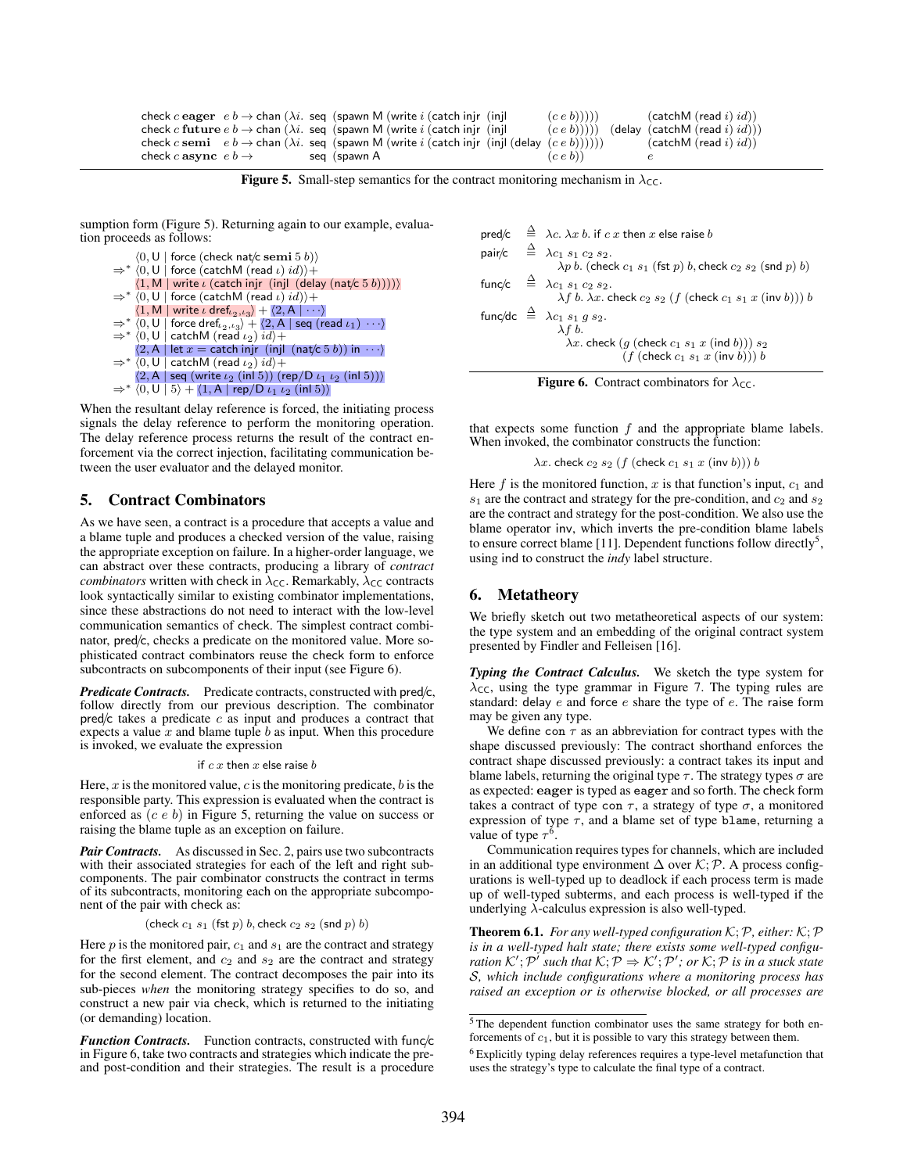```
check c eager e b \to \text{chan}(\lambda i) seq (spawn M (write i (catch injr (injl (e e b))))) (catchM (read i) id))<br>check c future e b \to \text{chan}(\lambda i) seq (spawn M (write i (catch injr (injl (e e b))))) (delay (catchM (read i) id)))
check c future e b \to \text{chan} (\lambda i. \text{ seq } (\text{spam } M \text{ (write } i \text{ (catch injr } (injl \qquad (c e b)))) (delay
check c semi e b \rightarrow chan (\lambda i. seq (spawn M (write i (catch injr (injl (delay (ce b)))))) (catchM (read i) id))
check c async e b \rightarrow seq (spawn A (c e b))
```
Figure 5. Small-step semantics for the contract monitoring mechanism in  $\lambda_{\text{CC}}$ .

sumption form (Figure 5). Returning again to our example, evaluation proceeds as follows:

```
\langle 0, \mathsf{U} \mid force (check nat/c \mathbf{semi} \, 5 \, b)\rangle\Rightarrow * (0, U | force (catchM (read ι) id))+
        \langle 1, M | write \iota (catch injr (injl (delay (nat/c 5 b)))))
        \langle 0, U | force (catchM (read ι) id)\rangle +\langle 1,\mathsf{M}\mid write \iota dref_{\iota_2,\iota_3}\rangle+\langle 2,\mathsf{A}\mid\cdots\rangle\Rightarrow \forall \langle 0, U | force dref_{\iota_2,\iota_3}\rangle + \langle 2, A | seq (read \iota_1)\ \cdots \rangle\Rightarrow^* \langle 0, U \vert catchM (read \iota_2) id +
        \langle 2, A \mid let x = catch injr (injl (nat/c 5 b)) in \cdots)
\Rightarrow * \overline{\langle 0, U |} catchM (read \iota_2) id +
        \langle 2, A \mid seq (write \iota_2 (inl 5))) (rep/D \iota_1 \iota_2 (inl 5)))
\Rightarrow^* \langle 0, \mathsf{U} | 5 \rangle + \langle 1, \mathsf{A} | \mathsf{rep} / \mathsf{D} \iota_{1} \iota_{2} \mathsf{(inl 5)} \rangle
```
When the resultant delay reference is forced, the initiating process signals the delay reference to perform the monitoring operation. The delay reference process returns the result of the contract enforcement via the correct injection, facilitating communication between the user evaluator and the delayed monitor.

## 5. Contract Combinators

As we have seen, a contract is a procedure that accepts a value and a blame tuple and produces a checked version of the value, raising the appropriate exception on failure. In a higher-order language, we can abstract over these contracts, producing a library of *contract combinators* written with check in  $\lambda_{\text{CC}}$ . Remarkably,  $\lambda_{\text{CC}}$  contracts look syntactically similar to existing combinator implementations, since these abstractions do not need to interact with the low-level communication semantics of check. The simplest contract combinator, pred/c, checks a predicate on the monitored value. More sophisticated contract combinators reuse the check form to enforce subcontracts on subcomponents of their input (see Figure 6).

*Predicate Contracts.* Predicate contracts, constructed with pred/c, follow directly from our previous description. The combinator  $pred/c$  takes a predicate c as input and produces a contract that expects a value  $x$  and blame tuple  $b$  as input. When this procedure is invoked, we evaluate the expression

if  $c x$  then  $x$  else raise  $b$ 

Here, x is the monitored value, c is the monitoring predicate,  $b$  is the responsible party. This expression is evaluated when the contract is enforced as  $(c e b)$  in Figure 5, returning the value on success or raising the blame tuple as an exception on failure.

*Pair Contracts.* As discussed in Sec. 2, pairs use two subcontracts with their associated strategies for each of the left and right subcomponents. The pair combinator constructs the contract in terms of its subcontracts, monitoring each on the appropriate subcomponent of the pair with check as:

(check  $c_1 s_1$  (fst  $p$ )  $b$ , check  $c_2 s_2$  (snd  $p$ )  $b$ )

Here  $p$  is the monitored pair,  $c_1$  and  $s_1$  are the contract and strategy for the first element, and  $c_2$  and  $s_2$  are the contract and strategy for the second element. The contract decomposes the pair into its sub-pieces *when* the monitoring strategy specifies to do so, and construct a new pair via check, which is returned to the initiating (or demanding) location.

**Function Contracts.** Function contracts, constructed with func/c in Figure 6, take two contracts and strategies which indicate the preand post-condition and their strategies. The result is a procedure

$$
\begin{array}{rcl}\n\text{pred/c} & \triangleq & \lambda c. \ \lambda x \ b. \ \text{if } c \ x \ \text{then } x \ \text{else raise } b \\
\text{pair/c} & \triangleq & \lambda c_1 \ s_1 \ c_2 \ s_2. \\
& \lambda p \ b. \ \text{(check } c_1 \ s_1 \ \text{(fst } p) \ b, \text{check } c_2 \ s_2 \ \text{(snd } p) \ b) \\
\text{func/c} & \triangleq & \lambda c_1 \ s_1 \ c_2 \ s_2. \\
& \lambda f \ b. \ \lambda x. \ \text{check } c_2 \ s_2 \ \text{(f (check } c_1 \ s_1 \ x \ \text{(inv } b))) \ b \\
\text{func/dc} & \triangleq & \lambda c_1 \ s_1 \ g \ s_2. \\
& \lambda f \ b. \\
& \lambda x. \ \text{check } (g \ \text{(check } c_1 \ s_1 \ x \ \text{(ind } b))) \ s_2 \\
& \quad (f \ \text{(check } c_1 \ s_1 \ x \ \text{(inv } b))) \ b \\
\end{array}
$$



that expects some function  $f$  and the appropriate blame labels. When invoked, the combinator constructs the function:

 $\lambda x.$  check  $c_2$   $s_2$   $(f$  (check  $c_1$   $s_1$   $x$   $(\textsf{inv } b)))$   $b$ 

Here f is the monitored function, x is that function's input,  $c_1$  and  $s_1$  are the contract and strategy for the pre-condition, and  $c_2$  and  $s_2$ are the contract and strategy for the post-condition. We also use the blame operator inv, which inverts the pre-condition blame labels to ensure correct blame [11]. Dependent functions follow directly<sup>5</sup>, using ind to construct the *indy* label structure.

## 6. Metatheory

We briefly sketch out two metatheoretical aspects of our system: the type system and an embedding of the original contract system presented by Findler and Felleisen [16].

*Typing the Contract Calculus.* We sketch the type system for  $\lambda_{\text{CC}}$ , using the type grammar in Figure 7. The typing rules are standard: delay  $e$  and force  $e$  share the type of  $e$ . The raise form may be given any type.

We define con  $\tau$  as an abbreviation for contract types with the shape discussed previously: The contract shorthand enforces the contract shape discussed previously: a contract takes its input and blame labels, returning the original type  $\tau$ . The strategy types  $\sigma$  are as expected: eager is typed as eager and so forth. The check form takes a contract of type con  $\tau$ , a strategy of type  $\sigma$ , a monitored expression of type  $\tau$ , and a blame set of type blame, returning a value of type  $\tau^6$ .

Communication requires types for channels, which are included in an additional type environment  $\Delta$  over  $\mathcal{K}; \mathcal{P}$ . A process configurations is well-typed up to deadlock if each process term is made up of well-typed subterms, and each process is well-typed if the underlying  $\lambda$ -calculus expression is also well-typed.

**Theorem 6.1.** *For any well-typed configuration*  $K; P$ *, either:*  $K; P$ *is in a well-typed halt state; there exists some well-typed configuration*  $K'$ ;  $\mathcal{P}'$  such that  $K; \mathcal{P} \Rightarrow K'$ ;  $\mathcal{P}'$ ; or  $K; \mathcal{P}$  is in a stuck state S*, which include configurations where a monitoring process has raised an exception or is otherwise blocked, or all processes are*

<sup>5</sup> The dependent function combinator uses the same strategy for both enforcements of  $c_1$ , but it is possible to vary this strategy between them.

<sup>6</sup> Explicitly typing delay references requires a type-level metafunction that uses the strategy's type to calculate the final type of a contract.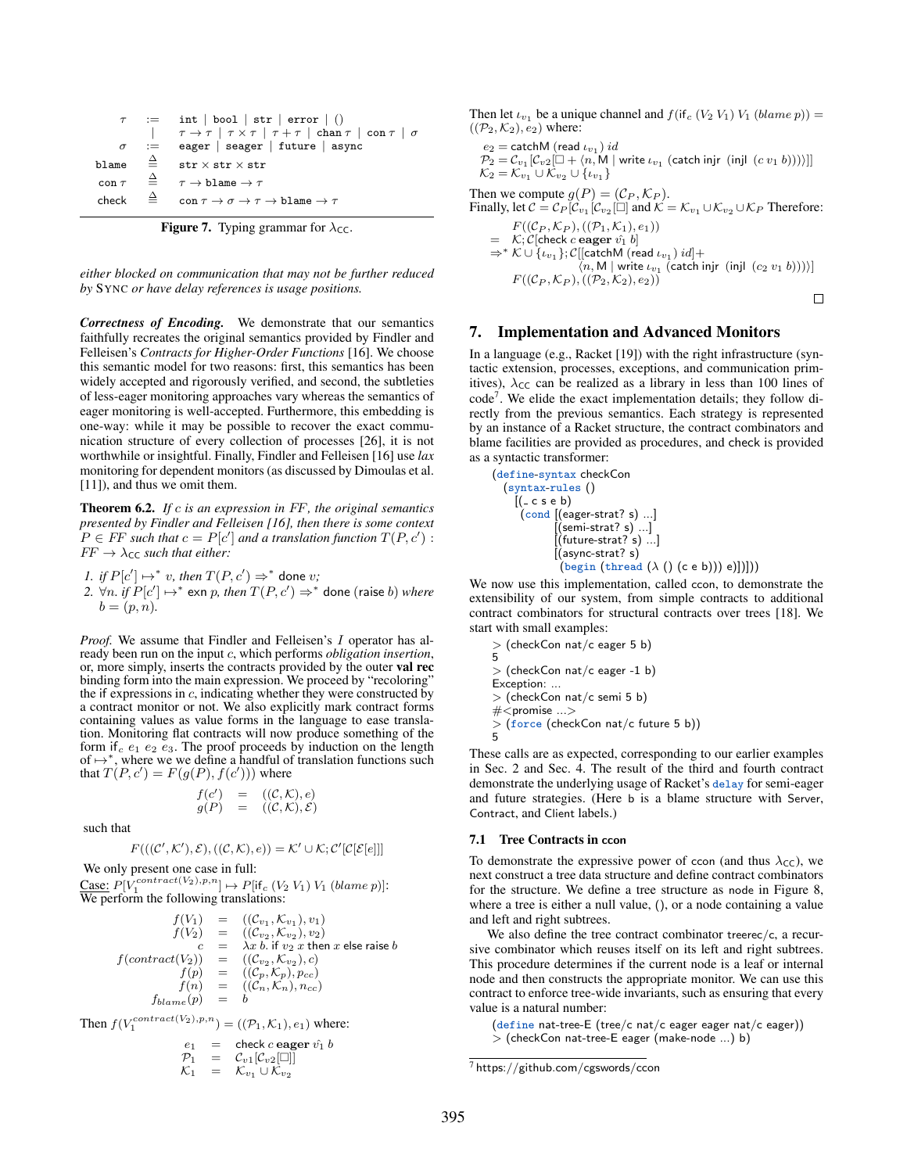|            |              | $\tau$ := int   bool   str   error   ()<br>$\begin{array}{cc} \vert & \tau \to \tau \vert \tau \times \tau \vert \tau + \tau \vert \text{ chan } \tau \vert \text{ con } \tau \vert \sigma \end{array}$ |
|------------|--------------|---------------------------------------------------------------------------------------------------------------------------------------------------------------------------------------------------------|
|            | $\sigma$ :=  | eager   seager   future   async                                                                                                                                                                         |
| blame      |              | $\triangleq$ str $\times$ str $\times$ str                                                                                                                                                              |
| $con \tau$ | $\triangleq$ | $\tau \to h$ lame $\to \tau$                                                                                                                                                                            |
| check      |              | con $\tau \to \sigma \to \tau \to b$ lame $\to \tau$                                                                                                                                                    |

**Figure 7.** Typing grammar for  $\lambda_{\text{CC}}$ .

*either blocked on communication that may not be further reduced by* SYNC *or have delay references is usage positions.*

*Correctness of Encoding.* We demonstrate that our semantics faithfully recreates the original semantics provided by Findler and Felleisen's *Contracts for Higher-Order Functions* [16]. We choose this semantic model for two reasons: first, this semantics has been widely accepted and rigorously verified, and second, the subtleties of less-eager monitoring approaches vary whereas the semantics of eager monitoring is well-accepted. Furthermore, this embedding is one-way: while it may be possible to recover the exact communication structure of every collection of processes [26], it is not worthwhile or insightful. Finally, Findler and Felleisen [16] use *lax* monitoring for dependent monitors (as discussed by Dimoulas et al. [11]), and thus we omit them.

Theorem 6.2. *If* c *is an expression in* FF*, the original semantics presented by Findler and Felleisen [16], then there is some context*  $P \in FF$  such that  $c = P[c']$  and a translation function  $T(P, c')$ :  $FF \rightarrow \lambda_{\text{CC}}$  *such that either:* 

*1. if*  $P[c'] \mapsto^* v$ , *then*  $T(P, c') \Rightarrow^*$  done *v*; 2. ∀n. *if*  $P[c'] \mapsto^*$  exn p, then  $T(P, c') \Rightarrow^*$  done (raise b) *where*  $b = (p, n)$ .

*Proof.* We assume that Findler and Felleisen's I operator has already been run on the input c, which performs *obligation insertion*, or, more simply, inserts the contracts provided by the outer val rec binding form into the main expression. We proceed by "recoloring" the if expressions in  $c$ , indicating whether they were constructed by a contract monitor or not. We also explicitly mark contract forms containing values as value forms in the language to ease translation. Monitoring flat contracts will now produce something of the form if<sub>c</sub>  $e_1$   $e_2$   $e_3$ . The proof proceeds by induction on the length of  $\mapsto^*$ , where we we define a handful of translation functions such that  $T(P, c') = F(g(P), f(c'))$  where

$$
\begin{array}{lcl} f(c') & = & ((\mathcal{C}, \mathcal{K}), e) \\ g(P) & = & ((\mathcal{C}, \mathcal{K}), \mathcal{E}) \end{array}
$$

such that

$$
F(((\mathcal{C}',\mathcal{K}'),\mathcal{E}),((\mathcal{C},\mathcal{K}),e)) = \mathcal{K}' \cup \mathcal{K};\mathcal{C}'[\mathcal{C}[\mathcal{E}[e]]]
$$

We only present one case in full:

Case:  $P[V_1^{contract(V_2), p, n}] \mapsto P[\text{if}_c (V_2 V_1) V_1 \text{ (blame } p)]$ : We perform the following translations:

$$
f(V_1) = ((\mathcal{C}_{v_1}, \mathcal{K}_{v_1}), v_1)
$$
  
\n
$$
f(V_2) = ((\mathcal{C}_{v_2}, \mathcal{K}_{v_2}), v_2)
$$
  
\n
$$
c = \lambda x b. \text{ if } v_2 \text{ x then } x \text{ else raise } b
$$
  
\n
$$
f(contract(V_2)) = ((\mathcal{C}_{v_2}, \mathcal{K}_{v_2}), c)
$$
  
\n
$$
f(p) = ((\mathcal{C}_p, \mathcal{K}_p), p_{cc})
$$
  
\n
$$
f(n) = ((\mathcal{C}_n, \mathcal{K}_n), n_{cc})
$$
  
\n
$$
f_{blame}(p) = b
$$

Then  $f(V_1^{contract(V_2), p, n}) = ((P_1, K_1), e_1)$  where:

$$
\begin{array}{rcl} e_1 & = & \text{check } c \text{ eager } \hat{v_1} \; b \\ \mathcal{P}_1 & = & \mathcal{C}_{v1}[\mathcal{C}_{v2}[\Box]] \\ \mathcal{K}_1 & = & \mathcal{K}_{v_1} \cup \mathcal{K}_{v_2} \end{array}
$$

Then let  $\iota_{v_1}$  be a unique channel and  $f(\text{if}_c (V_2 V_1) V_1 (\text{blame } p)) =$  $((\mathcal{P}_2, \mathcal{K}_2), e_2)$  where:

 $e_2 =$  catch $\mathsf{M}$  (read  $\iota_{v_1})$   $id$  $\mathcal{P}_2=\mathcal{C}_{v_1}[\mathcal{C}_{v2}[\Box+\langle n,\mathsf{M}\mid \mathsf{write}\; \iota_{v_1} \;(\mathsf{catch}\; \mathsf{injr}\; \;(\mathsf{injl}\; \; (c\; v_1\; b))\rangle]]$  $\mathcal{K}_2 = \mathcal{K}_{v_1} \cup \mathcal{K}_{v_2} \cup \{\iota_{v_1}\}\$ Then we compute  $g(P) = (\mathcal{C}_P, \mathcal{K}_P)$ . Finally, let  $C = C_P [C_{v_1} [C_{v_2} \Box]$  and  $K = K_{v_1} \cup K_{v_2} \cup K_P$  Therefore:  $F((\mathcal{C}_P, \mathcal{K}_P), ((\mathcal{P}_1, \mathcal{K}_1), e_1))$  $=\begin{array}{l} \mathcal{K}; \mathcal{C}[{\mathsf{check}}\ c\ {\mathsf{eager}}\ \hat{v_1}\ b]\ {\Rightarrow}^* \mathcal{K}\cup \{\iota_{v_1}\}; \mathcal{C}[[{\mathsf{catchM}}\ ({\mathsf{read}}\ \iota_{v_1})\ id]+ \end{array}$  $\langle n,\mathsf{M}\mid$  write  $\iota_{v_1}$  (catch injr  $\,$  (injl  $\,(c_2\;v_1\;b)))\rangle]$  $F((\mathcal{C}_P, \mathcal{K}_P), ((\mathcal{P}_2, \mathcal{K}_2), e_2))$ 

 $\Box$ 

# 7. Implementation and Advanced Monitors

In a language (e.g., Racket [19]) with the right infrastructure (syntactic extension, processes, exceptions, and communication primitives),  $\lambda_{\text{CC}}$  can be realized as a library in less than 100 lines of code<sup>7</sup> . We elide the exact implementation details; they follow directly from the previous semantics. Each strategy is represented by an instance of a Racket structure, the contract combinators and blame facilities are provided as procedures, and check is provided as a syntactic transformer:

(define-syntax checkCon (syntax-rules () [( c s e b) (cond [(eager-strat? s) ...] [(semi-strat? s) ...] [(future-strat? s) ...] [(async-strat? s) (begin (thread (λ () (c e b))) e)])]))

We now use this implementation, called ccon, to demonstrate the extensibility of our system, from simple contracts to additional contract combinators for structural contracts over trees [18]. We start with small examples:

> (checkCon nat/c eager 5 b) 5 > (checkCon nat/c eager -1 b) Exception: ... > (checkCon nat/c semi 5 b) #<promise ...> > (force (checkCon nat/c future 5 b)) 5

These calls are as expected, corresponding to our earlier examples in Sec. 2 and Sec. 4. The result of the third and fourth contract demonstrate the underlying usage of Racket's delay for semi-eager and future strategies. (Here b is a blame structure with Server, Contract, and Client labels.)

#### 7.1 Tree Contracts in ccon

To demonstrate the expressive power of ccon (and thus  $\lambda_{\text{CC}}$ ), we next construct a tree data structure and define contract combinators for the structure. We define a tree structure as node in Figure 8, where a tree is either a null value, (), or a node containing a value and left and right subtrees.

We also define the tree contract combinator treerec/c, a recursive combinator which reuses itself on its left and right subtrees. This procedure determines if the current node is a leaf or internal node and then constructs the appropriate monitor. We can use this contract to enforce tree-wide invariants, such as ensuring that every value is a natural number:

(define nat-tree-E (tree/c nat/c eager eager nat/c eager))

> (checkCon nat-tree-E eager (make-node ...) b)

<sup>7</sup> https://github.com/cgswords/ccon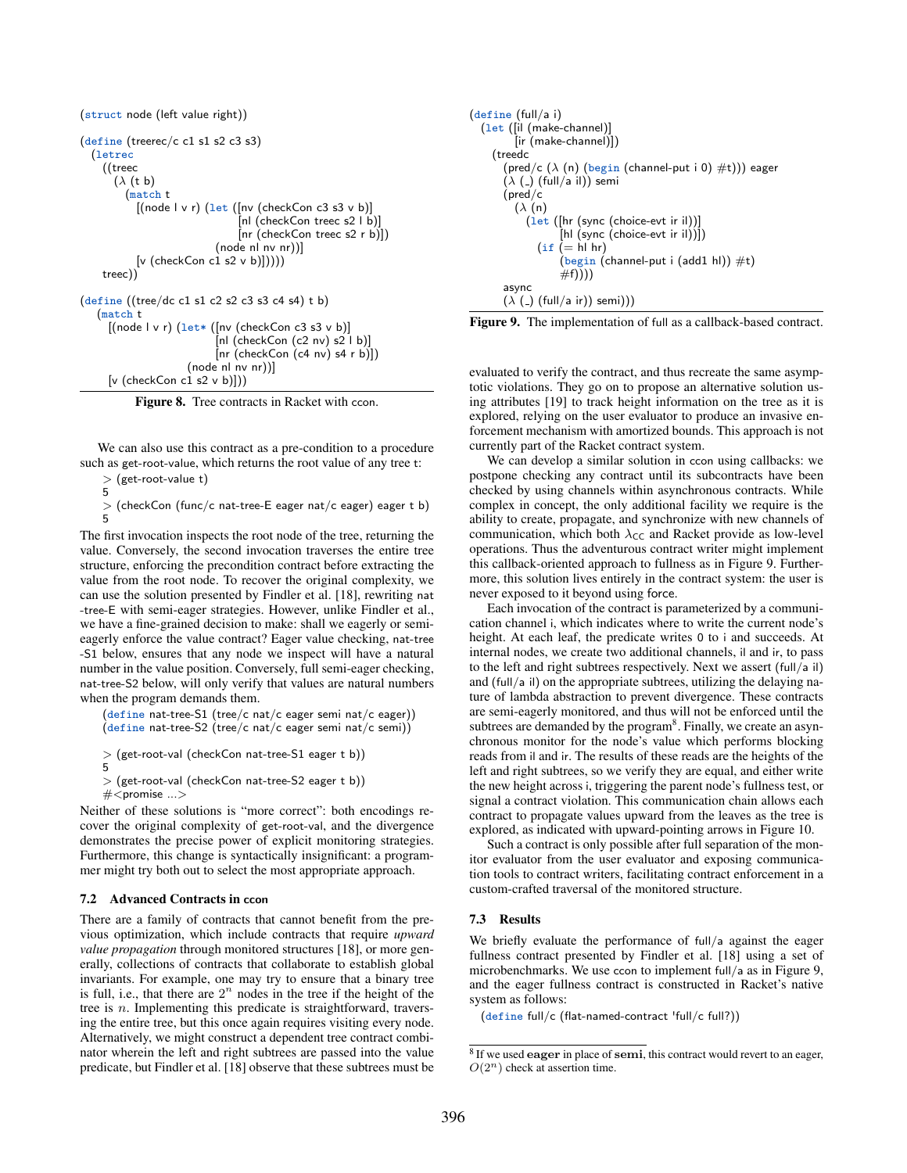```
(struct node (left value right))
(define (treerec/c c1 s1 s2 c3 s3)
  (letrec
    ((treec
      (λ (t b)
         (match t
           [(node \mid v \mid r) (let \mid (Inv (checkCon c3 s3 v b))[nl (checkCon treec s2 l b)]
                               [nr (checkCon treec s2 r b)])
                           (node nl nv nr))]
           [v (checkCon c1 s2 v b)])))treec))
(define ((tree/dc c1 s1 c2 s2 c3 s3 c4 s4) t b)
   (match t
     [(node \mid v \mid r) (let * ([nv (checkCon c3 s3 v b))[n] (checkCon (c2 nv) s2 |b|[nr (checkCon (c4 nv) s4 r b)])
                     (node nl nv nr))]
     [v (checkCon c1 s2 v b)])
```
Figure 8. Tree contracts in Racket with ccon.

We can also use this contract as a pre-condition to a procedure such as get-root-value, which returns the root value of any tree t:

 $>$  (get-root-value t) 5

> (checkCon (func/c nat-tree-E eager nat/c eager) eager t b) 5

The first invocation inspects the root node of the tree, returning the value. Conversely, the second invocation traverses the entire tree structure, enforcing the precondition contract before extracting the value from the root node. To recover the original complexity, we can use the solution presented by Findler et al. [18], rewriting nat -tree-E with semi-eager strategies. However, unlike Findler et al., we have a fine-grained decision to make: shall we eagerly or semieagerly enforce the value contract? Eager value checking, nat-tree -S1 below, ensures that any node we inspect will have a natural number in the value position. Conversely, full semi-eager checking, nat-tree-S2 below, will only verify that values are natural numbers when the program demands them.

```
(define nat-tree-S1 (tree/c nat/c eager semi nat/c eager))
(define nat-tree-S2 (tree/c nat/c eager semi nat/c semi))
```
> (get-root-val (checkCon nat-tree-S1 eager t b))

5

> (get-root-val (checkCon nat-tree-S2 eager t b))  $\#$  < promise  $\ldots$ >

Neither of these solutions is "more correct": both encodings recover the original complexity of get-root-val, and the divergence demonstrates the precise power of explicit monitoring strategies. Furthermore, this change is syntactically insignificant: a programmer might try both out to select the most appropriate approach.

#### 7.2 Advanced Contracts in ccon

There are a family of contracts that cannot benefit from the previous optimization, which include contracts that require *upward value propagation* through monitored structures [18], or more generally, collections of contracts that collaborate to establish global invariants. For example, one may try to ensure that a binary tree is full, i.e., that there are  $2^n$  nodes in the tree if the height of the tree is  $n$ . Implementing this predicate is straightforward, traversing the entire tree, but this once again requires visiting every node. Alternatively, we might construct a dependent tree contract combinator wherein the left and right subtrees are passed into the value predicate, but Findler et al. [18] observe that these subtrees must be

```
(define (full/a i)
  (let ([il (make-channel)]
         [ir (make-channel)])
     (treedc
       (pred/c (\lambda (n) (begin (channel-put i 0) #t))) eager
        (\lambda (_) (full/a il)) semi
       (pred/c
          (\lambda(n))(let ([hr (sync (choice-evt ir il))]
                    [hl (sync (choice-evt ir il))])
               (if \neq h| hr)
                    (\text{begin} (channel-put i (add1 hl)) \#t)
                    #f))))async
       (\lambda) (\Box) (full/a ir)) semi)))
```


evaluated to verify the contract, and thus recreate the same asymptotic violations. They go on to propose an alternative solution using attributes [19] to track height information on the tree as it is explored, relying on the user evaluator to produce an invasive enforcement mechanism with amortized bounds. This approach is not currently part of the Racket contract system.

We can develop a similar solution in ccon using callbacks: we postpone checking any contract until its subcontracts have been checked by using channels within asynchronous contracts. While complex in concept, the only additional facility we require is the ability to create, propagate, and synchronize with new channels of communication, which both  $\lambda_{\text{CC}}$  and Racket provide as low-level operations. Thus the adventurous contract writer might implement this callback-oriented approach to fullness as in Figure 9. Furthermore, this solution lives entirely in the contract system: the user is never exposed to it beyond using force.

Each invocation of the contract is parameterized by a communication channel i, which indicates where to write the current node's height. At each leaf, the predicate writes 0 to i and succeeds. At internal nodes, we create two additional channels, il and ir, to pass to the left and right subtrees respectively. Next we assert (full/a il) and (full/a il) on the appropriate subtrees, utilizing the delaying nature of lambda abstraction to prevent divergence. These contracts are semi-eagerly monitored, and thus will not be enforced until the subtrees are demanded by the program<sup>8</sup>. Finally, we create an asynchronous monitor for the node's value which performs blocking reads from il and ir. The results of these reads are the heights of the left and right subtrees, so we verify they are equal, and either write the new height across i, triggering the parent node's fullness test, or signal a contract violation. This communication chain allows each contract to propagate values upward from the leaves as the tree is explored, as indicated with upward-pointing arrows in Figure 10.

Such a contract is only possible after full separation of the monitor evaluator from the user evaluator and exposing communication tools to contract writers, facilitating contract enforcement in a custom-crafted traversal of the monitored structure.

## 7.3 Results

We briefly evaluate the performance of full/a against the eager fullness contract presented by Findler et al. [18] using a set of microbenchmarks. We use ccon to implement full/a as in Figure 9, and the eager fullness contract is constructed in Racket's native system as follows:

(define full/c (flat-named-contract 'full/c full?))

 $8$  If we used eager in place of semi, this contract would revert to an eager,  $O(2^n)$  check at assertion time.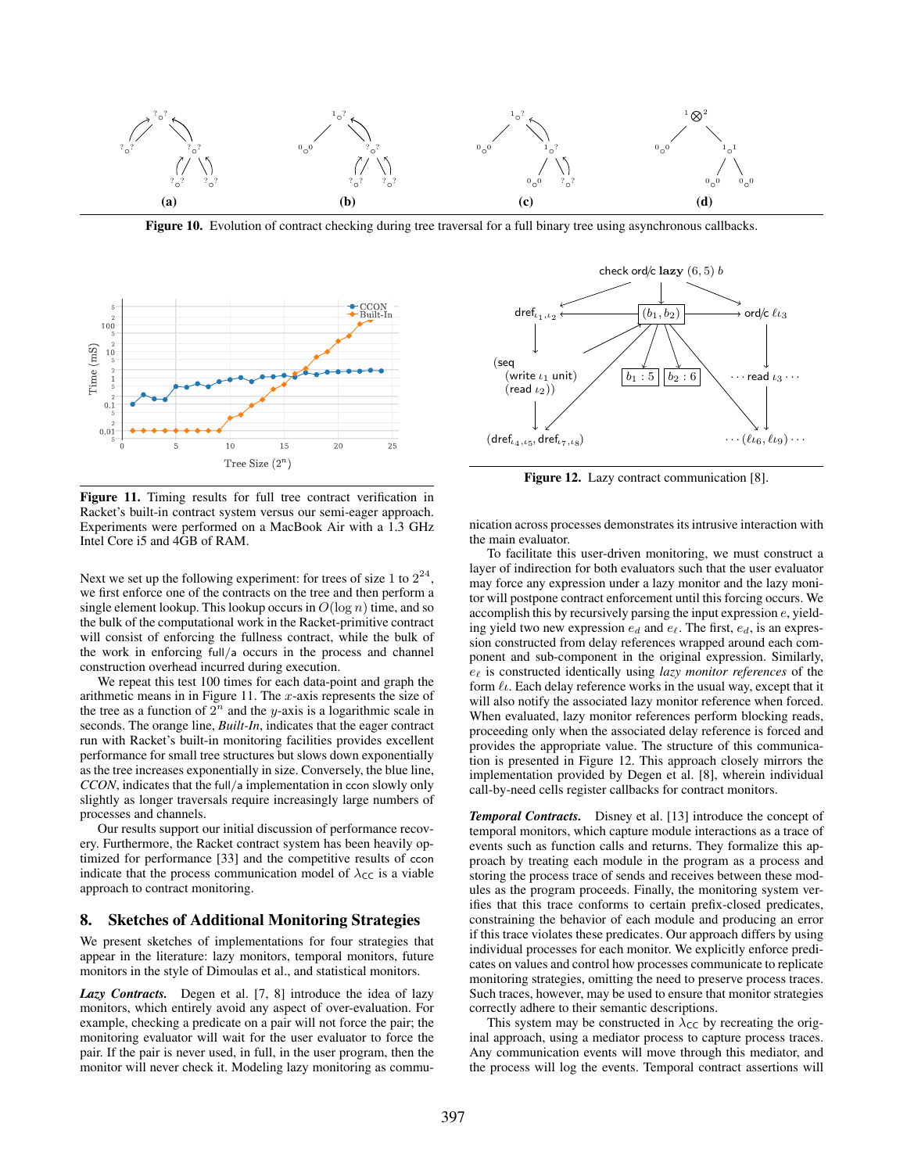

Figure 10. Evolution of contract checking during tree traversal for a full binary tree using asynchronous callbacks.



Figure 11. Timing results for full tree contract verification in Racket's built-in contract system versus our semi-eager approach. Experiments were performed on a MacBook Air with a 1.3 GHz Intel Core i5 and 4GB of RAM.

Next we set up the following experiment: for trees of size 1 to  $2^{24}$ , we first enforce one of the contracts on the tree and then perform a single element lookup. This lookup occurs in  $O(\log n)$  time, and so the bulk of the computational work in the Racket-primitive contract will consist of enforcing the fullness contract, while the bulk of the work in enforcing full/a occurs in the process and channel construction overhead incurred during execution.

We repeat this test 100 times for each data-point and graph the arithmetic means in in Figure 11. The  $x$ -axis represents the size of the tree as a function of  $2^n$  and the y-axis is a logarithmic scale in seconds. The orange line, *Built-In*, indicates that the eager contract run with Racket's built-in monitoring facilities provides excellent performance for small tree structures but slows down exponentially as the tree increases exponentially in size. Conversely, the blue line, *CCON*, indicates that the full/a implementation in ccon slowly only slightly as longer traversals require increasingly large numbers of processes and channels.

Our results support our initial discussion of performance recovery. Furthermore, the Racket contract system has been heavily optimized for performance [33] and the competitive results of ccon indicate that the process communication model of  $\lambda_{\text{CC}}$  is a viable approach to contract monitoring.

# 8. Sketches of Additional Monitoring Strategies

We present sketches of implementations for four strategies that appear in the literature: lazy monitors, temporal monitors, future monitors in the style of Dimoulas et al., and statistical monitors.

*Lazy Contracts.* Degen et al. [7, 8] introduce the idea of lazy monitors, which entirely avoid any aspect of over-evaluation. For example, checking a predicate on a pair will not force the pair; the monitoring evaluator will wait for the user evaluator to force the pair. If the pair is never used, in full, in the user program, then the monitor will never check it. Modeling lazy monitoring as commu-



Figure 12. Lazy contract communication [8].

nication across processes demonstrates its intrusive interaction with the main evaluator.

To facilitate this user-driven monitoring, we must construct a layer of indirection for both evaluators such that the user evaluator may force any expression under a lazy monitor and the lazy monitor will postpone contract enforcement until this forcing occurs. We accomplish this by recursively parsing the input expression e, yielding yield two new expression  $e_d$  and  $e_{\ell}$ . The first,  $e_d$ , is an expression constructed from delay references wrapped around each component and sub-component in the original expression. Similarly,  $e_{\ell}$  is constructed identically using *lazy monitor references* of the form  $\ell_{\iota}$ . Each delay reference works in the usual way, except that it will also notify the associated lazy monitor reference when forced. When evaluated, lazy monitor references perform blocking reads, proceeding only when the associated delay reference is forced and provides the appropriate value. The structure of this communication is presented in Figure 12. This approach closely mirrors the implementation provided by Degen et al. [8], wherein individual call-by-need cells register callbacks for contract monitors.

*Temporal Contracts.* Disney et al. [13] introduce the concept of temporal monitors, which capture module interactions as a trace of events such as function calls and returns. They formalize this approach by treating each module in the program as a process and storing the process trace of sends and receives between these modules as the program proceeds. Finally, the monitoring system verifies that this trace conforms to certain prefix-closed predicates, constraining the behavior of each module and producing an error if this trace violates these predicates. Our approach differs by using individual processes for each monitor. We explicitly enforce predicates on values and control how processes communicate to replicate monitoring strategies, omitting the need to preserve process traces. Such traces, however, may be used to ensure that monitor strategies correctly adhere to their semantic descriptions.

This system may be constructed in  $\lambda_{\text{CC}}$  by recreating the original approach, using a mediator process to capture process traces. Any communication events will move through this mediator, and the process will log the events. Temporal contract assertions will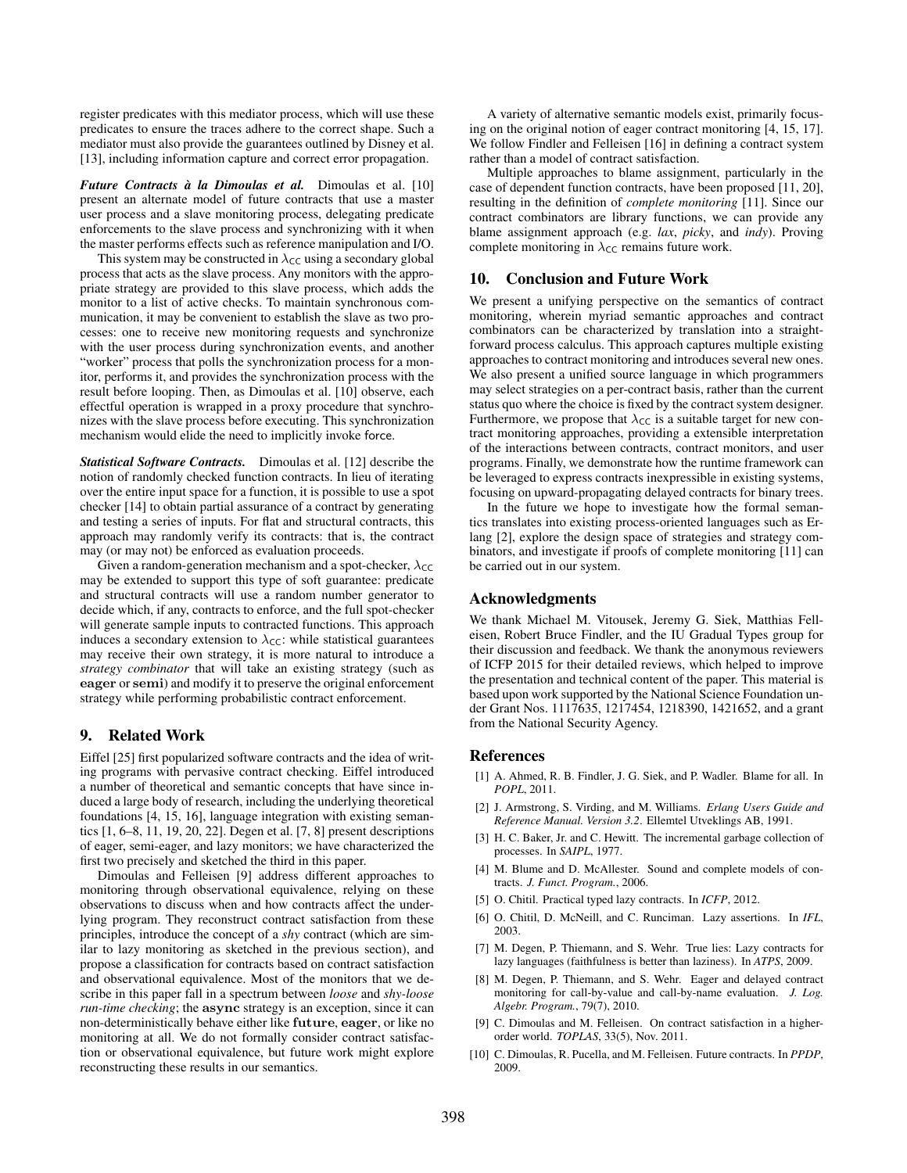register predicates with this mediator process, which will use these predicates to ensure the traces adhere to the correct shape. Such a mediator must also provide the guarantees outlined by Disney et al. [13], including information capture and correct error propagation.

*Future Contracts a la Dimoulas et al. `* Dimoulas et al. [10] present an alternate model of future contracts that use a master user process and a slave monitoring process, delegating predicate enforcements to the slave process and synchronizing with it when the master performs effects such as reference manipulation and I/O.

This system may be constructed in  $\lambda_{\text{CC}}$  using a secondary global process that acts as the slave process. Any monitors with the appropriate strategy are provided to this slave process, which adds the monitor to a list of active checks. To maintain synchronous communication, it may be convenient to establish the slave as two processes: one to receive new monitoring requests and synchronize with the user process during synchronization events, and another "worker" process that polls the synchronization process for a monitor, performs it, and provides the synchronization process with the result before looping. Then, as Dimoulas et al. [10] observe, each effectful operation is wrapped in a proxy procedure that synchronizes with the slave process before executing. This synchronization mechanism would elide the need to implicitly invoke force.

*Statistical Software Contracts.* Dimoulas et al. [12] describe the notion of randomly checked function contracts. In lieu of iterating over the entire input space for a function, it is possible to use a spot checker [14] to obtain partial assurance of a contract by generating and testing a series of inputs. For flat and structural contracts, this approach may randomly verify its contracts: that is, the contract may (or may not) be enforced as evaluation proceeds.

Given a random-generation mechanism and a spot-checker,  $\lambda_{\text{CC}}$ may be extended to support this type of soft guarantee: predicate and structural contracts will use a random number generator to decide which, if any, contracts to enforce, and the full spot-checker will generate sample inputs to contracted functions. This approach induces a secondary extension to  $\lambda_{\text{CC}}$ : while statistical guarantees may receive their own strategy, it is more natural to introduce a *strategy combinator* that will take an existing strategy (such as eager or semi) and modify it to preserve the original enforcement strategy while performing probabilistic contract enforcement.

# 9. Related Work

Eiffel [25] first popularized software contracts and the idea of writing programs with pervasive contract checking. Eiffel introduced a number of theoretical and semantic concepts that have since induced a large body of research, including the underlying theoretical foundations [4, 15, 16], language integration with existing semantics [1, 6–8, 11, 19, 20, 22]. Degen et al. [7, 8] present descriptions of eager, semi-eager, and lazy monitors; we have characterized the first two precisely and sketched the third in this paper.

Dimoulas and Felleisen [9] address different approaches to monitoring through observational equivalence, relying on these observations to discuss when and how contracts affect the underlying program. They reconstruct contract satisfaction from these principles, introduce the concept of a *shy* contract (which are similar to lazy monitoring as sketched in the previous section), and propose a classification for contracts based on contract satisfaction and observational equivalence. Most of the monitors that we describe in this paper fall in a spectrum between *loose* and *shy-loose run-time checking*; the **async** strategy is an exception, since it can non-deterministically behave either like future, eager, or like no monitoring at all. We do not formally consider contract satisfaction or observational equivalence, but future work might explore reconstructing these results in our semantics.

A variety of alternative semantic models exist, primarily focusing on the original notion of eager contract monitoring [4, 15, 17]. We follow Findler and Felleisen [16] in defining a contract system rather than a model of contract satisfaction.

Multiple approaches to blame assignment, particularly in the case of dependent function contracts, have been proposed [11, 20], resulting in the definition of *complete monitoring* [11]. Since our contract combinators are library functions, we can provide any blame assignment approach (e.g. *lax*, *picky*, and *indy*). Proving complete monitoring in  $\lambda_{\text{CC}}$  remains future work.

## 10. Conclusion and Future Work

We present a unifying perspective on the semantics of contract monitoring, wherein myriad semantic approaches and contract combinators can be characterized by translation into a straightforward process calculus. This approach captures multiple existing approaches to contract monitoring and introduces several new ones. We also present a unified source language in which programmers may select strategies on a per-contract basis, rather than the current status quo where the choice is fixed by the contract system designer. Furthermore, we propose that  $\lambda_{\text{CC}}$  is a suitable target for new contract monitoring approaches, providing a extensible interpretation of the interactions between contracts, contract monitors, and user programs. Finally, we demonstrate how the runtime framework can be leveraged to express contracts inexpressible in existing systems, focusing on upward-propagating delayed contracts for binary trees.

In the future we hope to investigate how the formal semantics translates into existing process-oriented languages such as Erlang [2], explore the design space of strategies and strategy combinators, and investigate if proofs of complete monitoring [11] can be carried out in our system.

## Acknowledgments

We thank Michael M. Vitousek, Jeremy G. Siek, Matthias Felleisen, Robert Bruce Findler, and the IU Gradual Types group for their discussion and feedback. We thank the anonymous reviewers of ICFP 2015 for their detailed reviews, which helped to improve the presentation and technical content of the paper. This material is based upon work supported by the National Science Foundation under Grant Nos. 1117635, 1217454, 1218390, 1421652, and a grant from the National Security Agency.

#### References

- [1] A. Ahmed, R. B. Findler, J. G. Siek, and P. Wadler. Blame for all. In *POPL*, 2011.
- [2] J. Armstrong, S. Virding, and M. Williams. *Erlang Users Guide and Reference Manual. Version 3.2*. Ellemtel Utveklings AB, 1991.
- [3] H. C. Baker, Jr. and C. Hewitt. The incremental garbage collection of processes. In *SAIPL*, 1977.
- [4] M. Blume and D. McAllester. Sound and complete models of contracts. *J. Funct. Program.*, 2006.
- [5] O. Chitil. Practical typed lazy contracts. In *ICFP*, 2012.
- [6] O. Chitil, D. McNeill, and C. Runciman. Lazy assertions. In *IFL*, 2003.
- [7] M. Degen, P. Thiemann, and S. Wehr. True lies: Lazy contracts for lazy languages (faithfulness is better than laziness). In *ATPS*, 2009.
- [8] M. Degen, P. Thiemann, and S. Wehr. Eager and delayed contract monitoring for call-by-value and call-by-name evaluation. *J. Log. Algebr. Program.*, 79(7), 2010.
- [9] C. Dimoulas and M. Felleisen. On contract satisfaction in a higherorder world. *TOPLAS*, 33(5), Nov. 2011.
- [10] C. Dimoulas, R. Pucella, and M. Felleisen. Future contracts. In *PPDP*, 2009.